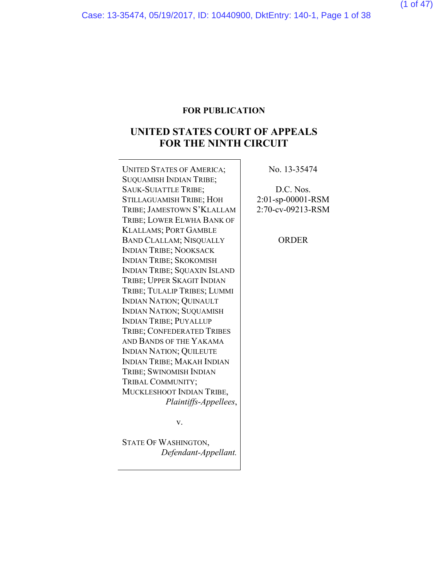#### **FOR PUBLICATION**

## **UNITED STATES COURT OF APPEALS FOR THE NINTH CIRCUIT**

UNITED STATES OF AMERICA; SUQUAMISH INDIAN TRIBE; SAUK-SUIATTLE TRIBE; STILLAGUAMISH TRIBE; HOH TRIBE; JAMESTOWN S'KLALLAM TRIBE; LOWER ELWHA BANK OF KLALLAMS; PORT GAMBLE BAND CLALLAM; NISQUALLY INDIAN TRIBE; NOOKSACK INDIAN TRIBE; SKOKOMISH INDIAN TRIBE; SQUAXIN ISLAND TRIBE; UPPER SKAGIT INDIAN TRIBE; TULALIP TRIBES; LUMMI INDIAN NATION; QUINAULT INDIAN NATION; SUQUAMISH INDIAN TRIBE; PUYALLUP TRIBE; CONFEDERATED TRIBES AND BANDS OF THE YAKAMA INDIAN NATION; QUILEUTE INDIAN TRIBE; MAKAH INDIAN TRIBE; SWINOMISH INDIAN TRIBAL COMMUNITY; MUCKLESHOOT INDIAN TRIBE, *Plaintiffs-Appellees*,

v.

*Defendant-Appellant.*

STATE OF WASHINGTON,

No. 13-35474

D.C. Nos. 2:01-sp-00001-RSM 2:70-cv-09213-RSM

ORDER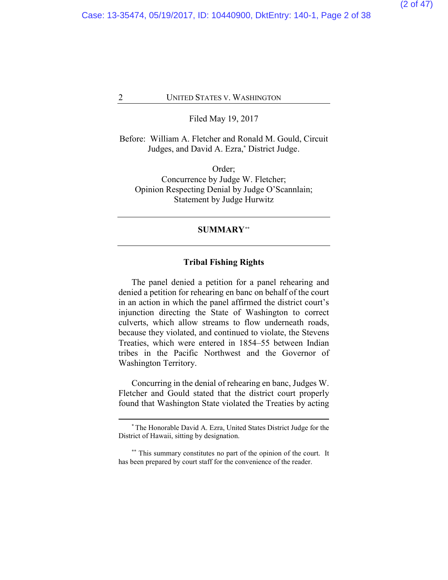Filed May 19, 2017

Before: William A. Fletcher and Ronald M. Gould, Circuit Judges, and David A. Ezra, **\*** District Judge[.](#page-1-0)

Order; Concurrence by Judge W. Fletcher; Opinion Respecting Denial by Judge O'Scannlain; Statement by Judge Hurwitz

#### **SUMMARY[\\*\\*](#page-1-1)**

#### **Tribal Fishing Rights**

The panel denied a petition for a panel rehearing and denied a petition for rehearing en banc on behalf of the court in an action in which the panel affirmed the district court's injunction directing the State of Washington to correct culverts, which allow streams to flow underneath roads, because they violated, and continued to violate, the Stevens Treaties, which were entered in 1854–55 between Indian tribes in the Pacific Northwest and the Governor of Washington Territory.

Concurring in the denial of rehearing en banc, Judges W. Fletcher and Gould stated that the district court properly found that Washington State violated the Treaties by acting

**<sup>\*</sup>** The Honorable David A. Ezra, United States District Judge for the District of Hawaii, sitting by designation.

<span id="page-1-1"></span><span id="page-1-0"></span>**<sup>\*\*</sup>** This summary constitutes no part of the opinion of the court. It has been prepared by court staff for the convenience of the reader.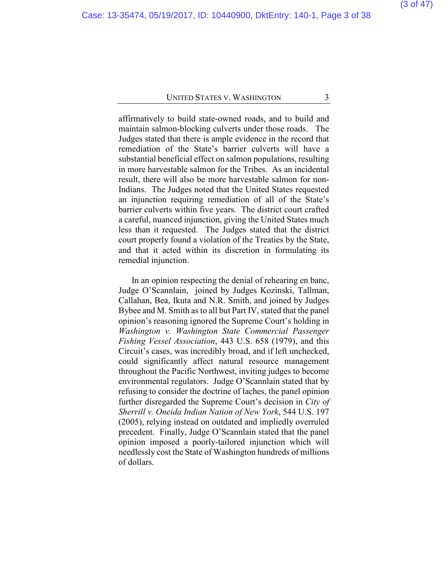affirmatively to build state-owned roads, and to build and maintain salmon-blocking culverts under those roads. The Judges stated that there is ample evidence in the record that remediation of the State's barrier culverts will have a substantial beneficial effect on salmon populations, resulting in more harvestable salmon for the Tribes. As an incidental result, there will also be more harvestable salmon for non-Indians. The Judges noted that the United States requested an injunction requiring remediation of all of the State's barrier culverts within five years. The district court crafted a careful, nuanced injunction, giving the United States much less than it requested. The Judges stated that the district court properly found a violation of the Treaties by the State, and that it acted within its discretion in formulating its remedial injunction.

In an opinion respecting the denial of rehearing en banc, Judge O'Scannlain, joined by Judges Kozinski, Tallman, Callahan, Bea, Ikuta and N.R. Smith, and joined by Judges Bybee and M. Smith as to all but Part IV, stated that the panel opinion's reasoning ignored the Supreme Court's holding in *Washington v. Washington State Commercial Passenger Fishing Vessel Association*, 443 U.S. 658 (1979), and this Circuit's cases, was incredibly broad, and if left unchecked, could significantly affect natural resource management throughout the Pacific Northwest, inviting judges to become environmental regulators. Judge O'Scannlain stated that by refusing to consider the doctrine of laches, the panel opinion further disregarded the Supreme Court's decision in *City of Sherrill v. Oneida Indian Nation of New York*, 544 U.S. 197 (2005), relying instead on outdated and impliedly overruled precedent. Finally, Judge O'Scannlain stated that the panel opinion imposed a poorly-tailored injunction which will needlessly cost the State of Washington hundreds of millions of dollars.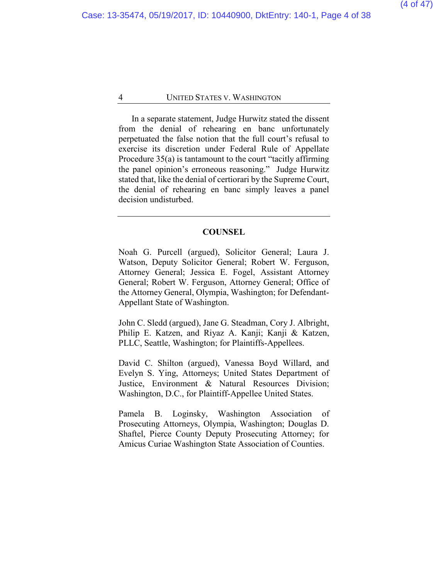In a separate statement, Judge Hurwitz stated the dissent from the denial of rehearing en banc unfortunately perpetuated the false notion that the full court's refusal to exercise its discretion under Federal Rule of Appellate Procedure 35(a) is tantamount to the court "tacitly affirming the panel opinion's erroneous reasoning." Judge Hurwitz stated that, like the denial of certiorari by the Supreme Court, the denial of rehearing en banc simply leaves a panel decision undisturbed.

#### **COUNSEL**

Noah G. Purcell (argued), Solicitor General; Laura J. Watson, Deputy Solicitor General; Robert W. Ferguson, Attorney General; Jessica E. Fogel, Assistant Attorney General; Robert W. Ferguson, Attorney General; Office of the Attorney General, Olympia, Washington; for Defendant-Appellant State of Washington.

John C. Sledd (argued), Jane G. Steadman, Cory J. Albright, Philip E. Katzen, and Riyaz A. Kanji; Kanji & Katzen, PLLC, Seattle, Washington; for Plaintiffs-Appellees.

David C. Shilton (argued), Vanessa Boyd Willard, and Evelyn S. Ying, Attorneys; United States Department of Justice, Environment & Natural Resources Division; Washington, D.C., for Plaintiff-Appellee United States.

Pamela B. Loginsky, Washington Association of Prosecuting Attorneys, Olympia, Washington; Douglas D. Shaftel, Pierce County Deputy Prosecuting Attorney; for Amicus Curiae Washington State Association of Counties.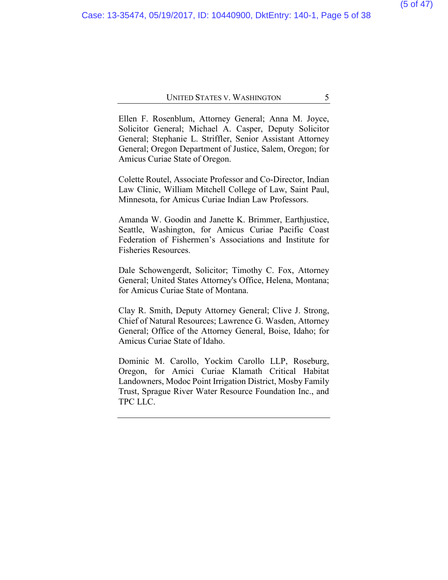Ellen F. Rosenblum, Attorney General; Anna M. Joyce, Solicitor General; Michael A. Casper, Deputy Solicitor General; Stephanie L. Striffler, Senior Assistant Attorney General; Oregon Department of Justice, Salem, Oregon; for Amicus Curiae State of Oregon.

Colette Routel, Associate Professor and Co-Director, Indian Law Clinic, William Mitchell College of Law, Saint Paul, Minnesota, for Amicus Curiae Indian Law Professors.

Amanda W. Goodin and Janette K. Brimmer, Earthjustice, Seattle, Washington, for Amicus Curiae Pacific Coast Federation of Fishermen's Associations and Institute for Fisheries Resources.

Dale Schowengerdt, Solicitor; Timothy C. Fox, Attorney General; United States Attorney's Office, Helena, Montana; for Amicus Curiae State of Montana.

Clay R. Smith, Deputy Attorney General; Clive J. Strong, Chief of Natural Resources; Lawrence G. Wasden, Attorney General; Office of the Attorney General, Boise, Idaho; for Amicus Curiae State of Idaho.

Dominic M. Carollo, Yockim Carollo LLP, Roseburg, Oregon, for Amici Curiae Klamath Critical Habitat Landowners, Modoc Point Irrigation District, Mosby Family Trust, Sprague River Water Resource Foundation Inc., and TPC LLC.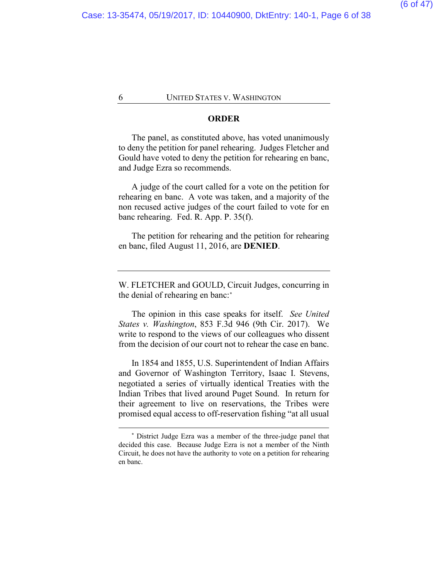#### **ORDER**

The panel, as constituted above, has voted unanimously to deny the petition for panel rehearing. Judges Fletcher and Gould have voted to deny the petition for rehearing en banc, and Judge Ezra so recommends.

A judge of the court called for a vote on the petition for rehearing en banc. A vote was taken, and a majority of the non recused active judges of the court failed to vote for en banc rehearing. Fed. R. App. P. 35(f).

The petition for rehearing and the petition for rehearing en banc, filed August 11, 2016, are **DENIED**.

W. FLETCHER and GOULD, Circuit Judges, concurring in the denial of rehearing en banc:**[\\*](#page-5-0)**

The opinion in this case speaks for itself. *See United States v. Washington*, 853 F.3d 946 (9th Cir. 2017). We write to respond to the views of our colleagues who dissent from the decision of our court not to rehear the case en banc.

In 1854 and 1855, U.S. Superintendent of Indian Affairs and Governor of Washington Territory, Isaac I. Stevens, negotiated a series of virtually identical Treaties with the Indian Tribes that lived around Puget Sound. In return for their agreement to live on reservations, the Tribes were promised equal access to off-reservation fishing "at all usual

<span id="page-5-0"></span>**<sup>\*</sup>** District Judge Ezra was a member of the three-judge panel that decided this case. Because Judge Ezra is not a member of the Ninth Circuit, he does not have the authority to vote on a petition for rehearing en banc.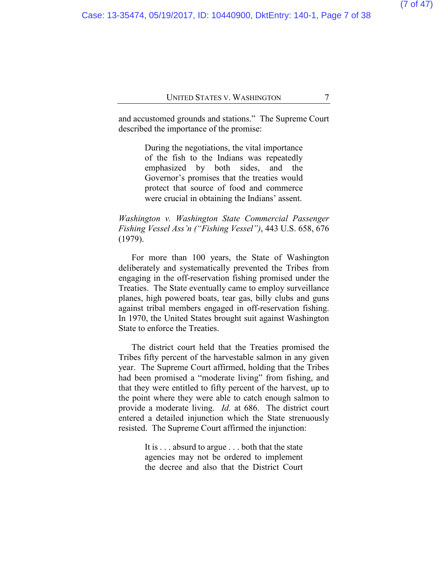and accustomed grounds and stations." The Supreme Court described the importance of the promise:

> During the negotiations, the vital importance of the fish to the Indians was repeatedly emphasized by both sides, and the Governor's promises that the treaties would protect that source of food and commerce were crucial in obtaining the Indians' assent.

*Washington v. Washington State Commercial Passenger Fishing Vessel Ass'n ("Fishing Vessel")*, 443 U.S. 658, 676 (1979).

For more than 100 years, the State of Washington deliberately and systematically prevented the Tribes from engaging in the off-reservation fishing promised under the Treaties. The State eventually came to employ surveillance planes, high powered boats, tear gas, billy clubs and guns against tribal members engaged in off-reservation fishing. In 1970, the United States brought suit against Washington State to enforce the Treaties.

The district court held that the Treaties promised the Tribes fifty percent of the harvestable salmon in any given year. The Supreme Court affirmed, holding that the Tribes had been promised a "moderate living" from fishing, and that they were entitled to fifty percent of the harvest, up to the point where they were able to catch enough salmon to provide a moderate living. *Id.* at 686. The district court entered a detailed injunction which the State strenuously resisted. The Supreme Court affirmed the injunction:

> It is . . . absurd to argue . . . both that the state agencies may not be ordered to implement the decree and also that the District Court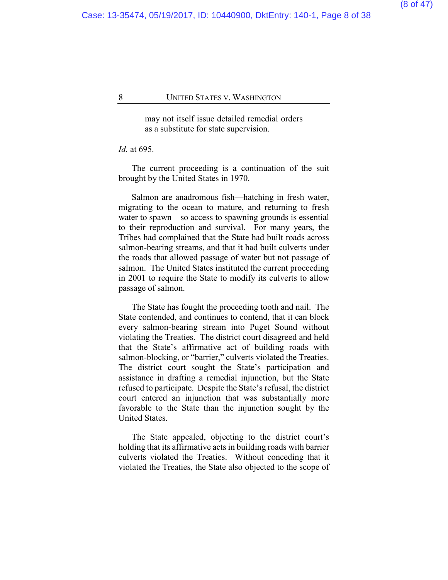may not itself issue detailed remedial orders as a substitute for state supervision.

#### *Id.* at 695.

The current proceeding is a continuation of the suit brought by the United States in 1970.

Salmon are anadromous fish—hatching in fresh water, migrating to the ocean to mature, and returning to fresh water to spawn—so access to spawning grounds is essential to their reproduction and survival. For many years, the Tribes had complained that the State had built roads across salmon-bearing streams, and that it had built culverts under the roads that allowed passage of water but not passage of salmon. The United States instituted the current proceeding in 2001 to require the State to modify its culverts to allow passage of salmon.

The State has fought the proceeding tooth and nail. The State contended, and continues to contend, that it can block every salmon-bearing stream into Puget Sound without violating the Treaties. The district court disagreed and held that the State's affirmative act of building roads with salmon-blocking, or "barrier," culverts violated the Treaties. The district court sought the State's participation and assistance in drafting a remedial injunction, but the State refused to participate. Despite the State's refusal, the district court entered an injunction that was substantially more favorable to the State than the injunction sought by the United States.

The State appealed, objecting to the district court's holding that its affirmative acts in building roads with barrier culverts violated the Treaties. Without conceding that it violated the Treaties, the State also objected to the scope of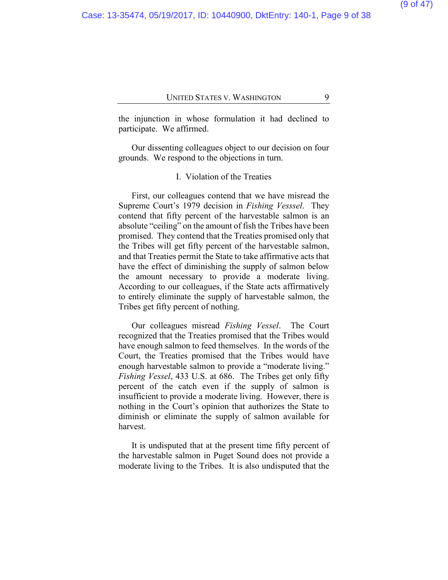the injunction in whose formulation it had declined to participate. We affirmed.

Our dissenting colleagues object to our decision on four grounds. We respond to the objections in turn.

## I. Violation of the Treaties

First, our colleagues contend that we have misread the Supreme Court's 1979 decision in *Fishing Vesssel*. They contend that fifty percent of the harvestable salmon is an absolute "ceiling" on the amount of fish the Tribes have been promised. They contend that the Treaties promised only that the Tribes will get fifty percent of the harvestable salmon, and that Treaties permit the State to take affirmative acts that have the effect of diminishing the supply of salmon below the amount necessary to provide a moderate living. According to our colleagues, if the State acts affirmatively to entirely eliminate the supply of harvestable salmon, the Tribes get fifty percent of nothing.

Our colleagues misread *Fishing Vessel*. The Court recognized that the Treaties promised that the Tribes would have enough salmon to feed themselves. In the words of the Court, the Treaties promised that the Tribes would have enough harvestable salmon to provide a "moderate living." *Fishing Vessel*, 433 U.S. at 686. The Tribes get only fifty percent of the catch even if the supply of salmon is insufficient to provide a moderate living. However, there is nothing in the Court's opinion that authorizes the State to diminish or eliminate the supply of salmon available for harvest.

It is undisputed that at the present time fifty percent of the harvestable salmon in Puget Sound does not provide a moderate living to the Tribes. It is also undisputed that the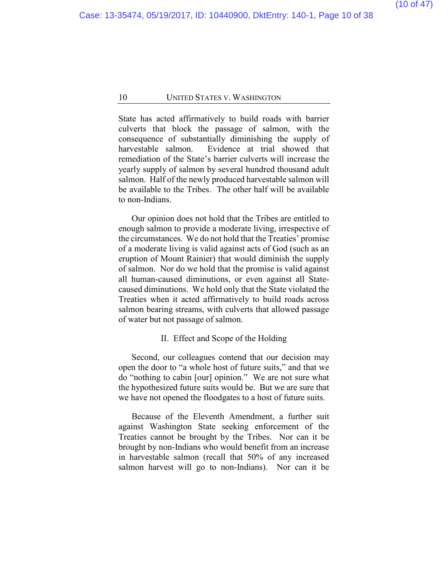State has acted affirmatively to build roads with barrier culverts that block the passage of salmon, with the consequence of substantially diminishing the supply of harvestable salmon. Evidence at trial showed that remediation of the State's barrier culverts will increase the yearly supply of salmon by several hundred thousand adult salmon. Half of the newly produced harvestable salmon will be available to the Tribes. The other half will be available to non-Indians.

Our opinion does not hold that the Tribes are entitled to enough salmon to provide a moderate living, irrespective of the circumstances. We do not hold that the Treaties' promise of a moderate living is valid against acts of God (such as an eruption of Mount Rainier) that would diminish the supply of salmon. Nor do we hold that the promise is valid against all human-caused diminutions, or even against all Statecaused diminutions. We hold only that the State violated the Treaties when it acted affirmatively to build roads across salmon bearing streams, with culverts that allowed passage of water but not passage of salmon.

#### II. Effect and Scope of the Holding

Second, our colleagues contend that our decision may open the door to "a whole host of future suits," and that we do "nothing to cabin [our] opinion." We are not sure what the hypothesized future suits would be. But we are sure that we have not opened the floodgates to a host of future suits.

Because of the Eleventh Amendment, a further suit against Washington State seeking enforcement of the Treaties cannot be brought by the Tribes. Nor can it be brought by non-Indians who would benefit from an increase in harvestable salmon (recall that 50% of any increased salmon harvest will go to non-Indians). Nor can it be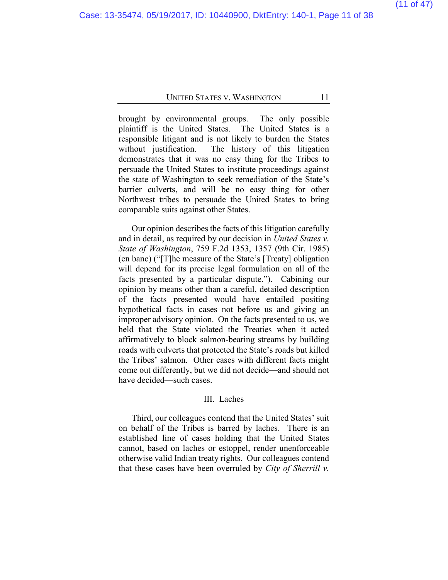brought by environmental groups. The only possible plaintiff is the United States. The United States is a responsible litigant and is not likely to burden the States without justification. The history of this litigation demonstrates that it was no easy thing for the Tribes to persuade the United States to institute proceedings against the state of Washington to seek remediation of the State's barrier culverts, and will be no easy thing for other Northwest tribes to persuade the United States to bring comparable suits against other States.

Our opinion describes the facts of this litigation carefully and in detail, as required by our decision in *United States v. State of Washington*, 759 F.2d 1353, 1357 (9th Cir. 1985) (en banc) ("[T]he measure of the State's [Treaty] obligation will depend for its precise legal formulation on all of the facts presented by a particular dispute."). Cabining our opinion by means other than a careful, detailed description of the facts presented would have entailed positing hypothetical facts in cases not before us and giving an improper advisory opinion. On the facts presented to us, we held that the State violated the Treaties when it acted affirmatively to block salmon-bearing streams by building roads with culverts that protected the State's roads but killed the Tribes' salmon. Other cases with different facts might come out differently, but we did not decide—and should not have decided—such cases.

## III. Laches

Third, our colleagues contend that the United States' suit on behalf of the Tribes is barred by laches. There is an established line of cases holding that the United States cannot, based on laches or estoppel, render unenforceable otherwise valid Indian treaty rights. Our colleagues contend that these cases have been overruled by *City of Sherrill v.*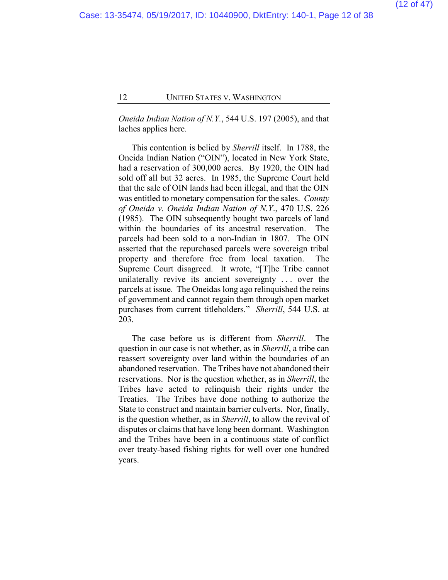*Oneida Indian Nation of N.Y.*, 544 U.S. 197 (2005), and that laches applies here.

This contention is belied by *Sherrill* itself. In 1788, the Oneida Indian Nation ("OIN"), located in New York State, had a reservation of 300,000 acres. By 1920, the OIN had sold off all but 32 acres. In 1985, the Supreme Court held that the sale of OIN lands had been illegal, and that the OIN was entitled to monetary compensation for the sales. *County of Oneida v. Oneida Indian Nation of N.Y*., 470 U.S. 226 (1985). The OIN subsequently bought two parcels of land within the boundaries of its ancestral reservation. The parcels had been sold to a non-Indian in 1807. The OIN asserted that the repurchased parcels were sovereign tribal property and therefore free from local taxation. The Supreme Court disagreed. It wrote, "[T]he Tribe cannot unilaterally revive its ancient sovereignty . . . over the parcels at issue. The Oneidas long ago relinquished the reins of government and cannot regain them through open market purchases from current titleholders." *Sherrill*, 544 U.S. at 203.

The case before us is different from *Sherrill*. The question in our case is not whether, as in *Sherrill*, a tribe can reassert sovereignty over land within the boundaries of an abandoned reservation. The Tribes have not abandoned their reservations. Nor is the question whether, as in *Sherrill*, the Tribes have acted to relinquish their rights under the Treaties. The Tribes have done nothing to authorize the State to construct and maintain barrier culverts. Nor, finally, is the question whether, as in *Sherrill*, to allow the revival of disputes or claims that have long been dormant. Washington and the Tribes have been in a continuous state of conflict over treaty-based fishing rights for well over one hundred years.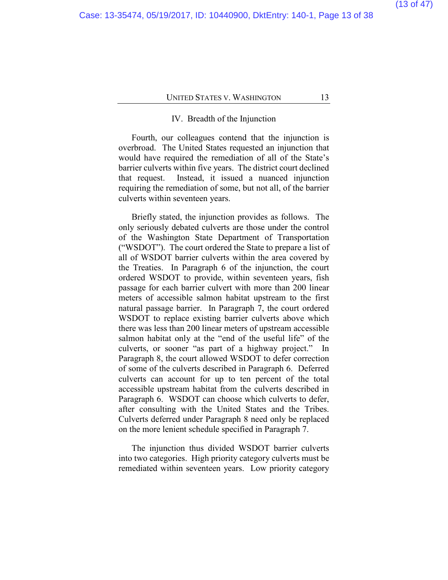#### IV. Breadth of the Injunction

Fourth, our colleagues contend that the injunction is overbroad. The United States requested an injunction that would have required the remediation of all of the State's barrier culverts within five years. The district court declined that request. Instead, it issued a nuanced injunction requiring the remediation of some, but not all, of the barrier culverts within seventeen years.

Briefly stated, the injunction provides as follows. The only seriously debated culverts are those under the control of the Washington State Department of Transportation ("WSDOT"). The court ordered the State to prepare a list of all of WSDOT barrier culverts within the area covered by the Treaties. In Paragraph 6 of the injunction, the court ordered WSDOT to provide, within seventeen years, fish passage for each barrier culvert with more than 200 linear meters of accessible salmon habitat upstream to the first natural passage barrier. In Paragraph 7, the court ordered WSDOT to replace existing barrier culverts above which there was less than 200 linear meters of upstream accessible salmon habitat only at the "end of the useful life" of the culverts, or sooner "as part of a highway project." In Paragraph 8, the court allowed WSDOT to defer correction of some of the culverts described in Paragraph 6. Deferred culverts can account for up to ten percent of the total accessible upstream habitat from the culverts described in Paragraph 6. WSDOT can choose which culverts to defer, after consulting with the United States and the Tribes. Culverts deferred under Paragraph 8 need only be replaced on the more lenient schedule specified in Paragraph 7.

The injunction thus divided WSDOT barrier culverts into two categories. High priority category culverts must be remediated within seventeen years. Low priority category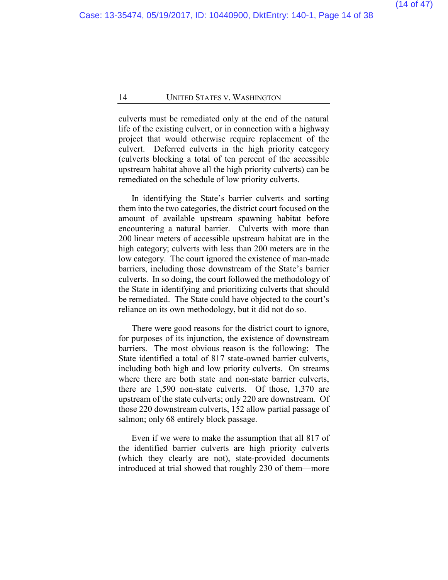culverts must be remediated only at the end of the natural life of the existing culvert, or in connection with a highway project that would otherwise require replacement of the culvert. Deferred culverts in the high priority category (culverts blocking a total of ten percent of the accessible upstream habitat above all the high priority culverts) can be remediated on the schedule of low priority culverts.

In identifying the State's barrier culverts and sorting them into the two categories, the district court focused on the amount of available upstream spawning habitat before encountering a natural barrier. Culverts with more than 200 linear meters of accessible upstream habitat are in the high category; culverts with less than 200 meters are in the low category. The court ignored the existence of man-made barriers, including those downstream of the State's barrier culverts. In so doing, the court followed the methodology of the State in identifying and prioritizing culverts that should be remediated. The State could have objected to the court's reliance on its own methodology, but it did not do so.

There were good reasons for the district court to ignore, for purposes of its injunction, the existence of downstream barriers. The most obvious reason is the following: The State identified a total of 817 state-owned barrier culverts, including both high and low priority culverts. On streams where there are both state and non-state barrier culverts, there are 1,590 non-state culverts. Of those, 1,370 are upstream of the state culverts; only 220 are downstream. Of those 220 downstream culverts, 152 allow partial passage of salmon; only 68 entirely block passage.

Even if we were to make the assumption that all 817 of the identified barrier culverts are high priority culverts (which they clearly are not), state-provided documents introduced at trial showed that roughly 230 of them—more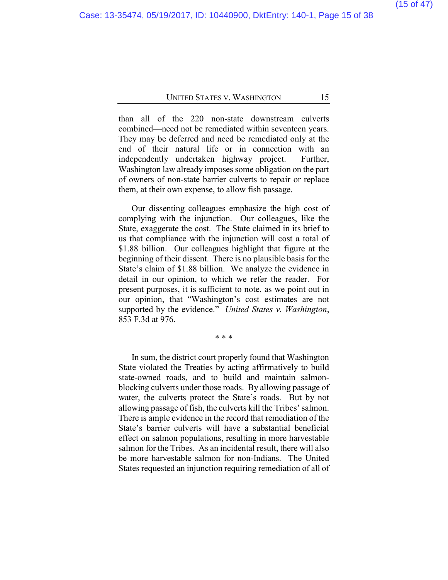than all of the 220 non-state downstream culverts combined—need not be remediated within seventeen years. They may be deferred and need be remediated only at the end of their natural life or in connection with an independently undertaken highway project. Further, Washington law already imposes some obligation on the part of owners of non-state barrier culverts to repair or replace them, at their own expense, to allow fish passage.

Our dissenting colleagues emphasize the high cost of complying with the injunction. Our colleagues, like the State, exaggerate the cost. The State claimed in its brief to us that compliance with the injunction will cost a total of \$1.88 billion. Our colleagues highlight that figure at the beginning of their dissent. There is no plausible basis for the State's claim of \$1.88 billion. We analyze the evidence in detail in our opinion, to which we refer the reader. For present purposes, it is sufficient to note, as we point out in our opinion, that "Washington's cost estimates are not supported by the evidence." *United States v. Washington*, 853 F.3d at 976.

\* \* \*

In sum, the district court properly found that Washington State violated the Treaties by acting affirmatively to build state-owned roads, and to build and maintain salmonblocking culverts under those roads. By allowing passage of water, the culverts protect the State's roads. But by not allowing passage of fish, the culverts kill the Tribes' salmon. There is ample evidence in the record that remediation of the State's barrier culverts will have a substantial beneficial effect on salmon populations, resulting in more harvestable salmon for the Tribes. As an incidental result, there will also be more harvestable salmon for non-Indians. The United States requested an injunction requiring remediation of all of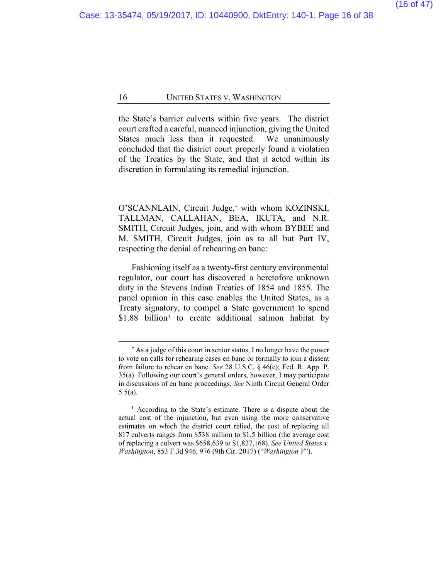the State's barrier culverts within five years. The district court crafted a careful, nuanced injunction, giving the United States much less than it requested. We unanimously concluded that the district court properly found a violation of the Treaties by the State, and that it acted within its discretion in formulating its remedial injunction.

O'SCANNLAIN, Circuit Judge,**[\\*](#page-15-0)** with whom KOZINSKI, TALLMAN, CALLAHAN, BEA, IKUTA, and N.R. SMITH, Circuit Judges, join, and with whom BYBEE and M. SMITH, Circuit Judges, join as to all but Part IV, respecting the denial of rehearing en banc:

Fashioning itself as a twenty-first century environmental regulator, our court has discovered a heretofore unknown duty in the Stevens Indian Treaties of 1854 and 1855. The panel opinion in this case enables the United States, as a Treaty signatory, to compel a State government to spend \$[1](#page-15-1).88 billion<sup>1</sup> to create additional salmon habitat by

**<sup>\*</sup>** As a judge of this court in senior status, I no longer have the power to vote on calls for rehearing cases en banc or formally to join a dissent from failure to rehear en banc. *See* 28 U.S.C. § 46(c); Fed. R. App. P. 35(a). Following our court's general orders, however, I may participate in discussions of en banc proceedings. *See* Ninth Circuit General Order 5.5(a).

<span id="page-15-1"></span><span id="page-15-0"></span>**<sup>1</sup>** According to the State's estimate. There is a dispute about the actual cost of the injunction, but even using the more conservative estimates on which the district court relied, the cost of replacing all 817 culverts ranges from \$538 million to \$1.5 billion (the average cost of replacing a culvert was \$658,639 to \$1,827,168). *See United States v. Washington*, 853 F.3d 946, 976 (9th Cir. 2017) ("*Washington V*").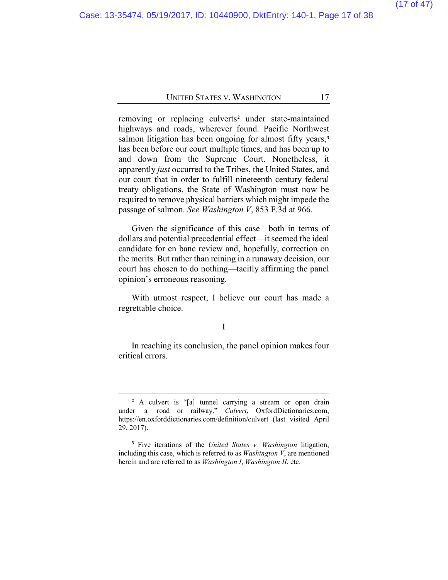removing or replacing culverts**[2](#page-16-0)** under state-maintained highways and roads, wherever found. Pacific Northwest salmon litigation has been ongoing for almost fifty years,**[3](#page-16-1)** has been before our court multiple times, and has been up to and down from the Supreme Court. Nonetheless, it apparently *just* occurred to the Tribes, the United States, and our court that in order to fulfill nineteenth century federal treaty obligations, the State of Washington must now be required to remove physical barriers which might impede the passage of salmon. *See Washington V*, 853 F.3d at 966.

Given the significance of this case—both in terms of dollars and potential precedential effect—it seemed the ideal candidate for en banc review and, hopefully, correction on the merits. But rather than reining in a runaway decision, our court has chosen to do nothing—tacitly affirming the panel opinion's erroneous reasoning.

With utmost respect, I believe our court has made a regrettable choice.

#### I

In reaching its conclusion, the panel opinion makes four critical errors.

**<sup>2</sup>** A culvert is "[a] tunnel carrying a stream or open drain under a road or railway." *Culvert*, OxfordDictionaries.com, https://en.oxforddictionaries.com/definition/culvert (last visited April 29, 2017).

<span id="page-16-1"></span><span id="page-16-0"></span>**<sup>3</sup>** Five iterations of the *United States v. Washington* litigation, including this case, which is referred to as *Washington V*, are mentioned herein and are referred to as *Washington I*, *Washington II*, etc.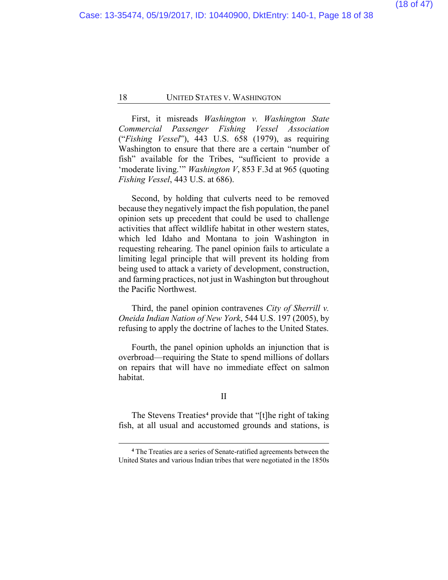First, it misreads *Washington v. Washington State Commercial Passenger Fishing Vessel Association*  ("*Fishing Vessel*"), 443 U.S. 658 (1979), as requiring Washington to ensure that there are a certain "number of fish" available for the Tribes, "sufficient to provide a 'moderate living.'" *Washington V*, 853 F.3d at 965 (quoting *Fishing Vessel*, 443 U.S. at 686).

Second, by holding that culverts need to be removed because they negatively impact the fish population, the panel opinion sets up precedent that could be used to challenge activities that affect wildlife habitat in other western states, which led Idaho and Montana to join Washington in requesting rehearing. The panel opinion fails to articulate a limiting legal principle that will prevent its holding from being used to attack a variety of development, construction, and farming practices, not just in Washington but throughout the Pacific Northwest.

Third, the panel opinion contravenes *City of Sherrill v. Oneida Indian Nation of New York*, 544 U.S. 197 (2005), by refusing to apply the doctrine of laches to the United States.

Fourth, the panel opinion upholds an injunction that is overbroad—requiring the State to spend millions of dollars on repairs that will have no immediate effect on salmon habitat.

#### II

The Stevens Treaties**[4](#page-17-0)** provide that "[t]he right of taking fish, at all usual and accustomed grounds and stations, is

<span id="page-17-0"></span>**<sup>4</sup>** The Treaties are a series of Senate-ratified agreements between the United States and various Indian tribes that were negotiated in the 1850s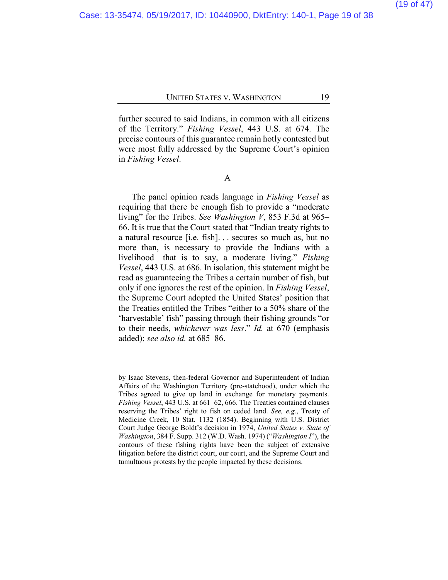further secured to said Indians, in common with all citizens of the Territory." *Fishing Vessel*, 443 U.S. at 674. The precise contours of this guarantee remain hotly contested but were most fully addressed by the Supreme Court's opinion in *Fishing Vessel*.

A

The panel opinion reads language in *Fishing Vessel* as requiring that there be enough fish to provide a "moderate living" for the Tribes. *See Washington V*, 853 F.3d at 965– 66. It is true that the Court stated that "Indian treaty rights to a natural resource [i.e. fish]. . . secures so much as, but no more than, is necessary to provide the Indians with a livelihood—that is to say, a moderate living." *Fishing Vessel*, 443 U.S. at 686. In isolation, this statement might be read as guaranteeing the Tribes a certain number of fish, but only if one ignores the rest of the opinion. In *Fishing Vessel*, the Supreme Court adopted the United States' position that the Treaties entitled the Tribes "either to a 50% share of the 'harvestable' fish" passing through their fishing grounds "or to their needs, *whichever was less*." *Id.* at 670 (emphasis added); *see also id.* at 685–86.

by Isaac Stevens, then-federal Governor and Superintendent of Indian Affairs of the Washington Territory (pre-statehood), under which the Tribes agreed to give up land in exchange for monetary payments. *Fishing Vessel*, 443 U.S. at 661–62, 666. The Treaties contained clauses reserving the Tribes' right to fish on ceded land. *See, e.g.*, Treaty of Medicine Creek, 10 Stat. 1132 (1854). Beginning with U.S. District Court Judge George Boldt's decision in 1974, *United States v. State of Washington*, 384 F. Supp. 312 (W.D. Wash. 1974) ("*Washington I*"), the contours of these fishing rights have been the subject of extensive litigation before the district court, our court, and the Supreme Court and tumultuous protests by the people impacted by these decisions.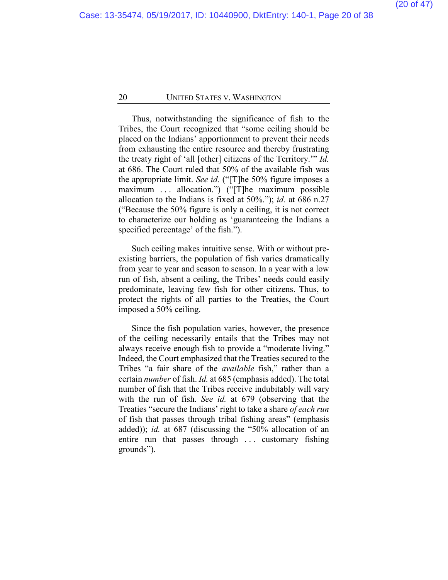Thus, notwithstanding the significance of fish to the Tribes, the Court recognized that "some ceiling should be placed on the Indians' apportionment to prevent their needs from exhausting the entire resource and thereby frustrating the treaty right of 'all [other] citizens of the Territory.'" *Id.* at 686. The Court ruled that 50% of the available fish was the appropriate limit. *See id.* ("[T]he 50% figure imposes a maximum ... allocation.") ("The maximum possible allocation to the Indians is fixed at 50%."); *id.* at 686 n.27 ("Because the 50% figure is only a ceiling, it is not correct to characterize our holding as 'guaranteeing the Indians a specified percentage' of the fish.").

Such ceiling makes intuitive sense. With or without preexisting barriers, the population of fish varies dramatically from year to year and season to season. In a year with a low run of fish, absent a ceiling, the Tribes' needs could easily predominate, leaving few fish for other citizens. Thus, to protect the rights of all parties to the Treaties, the Court imposed a 50% ceiling.

Since the fish population varies, however, the presence of the ceiling necessarily entails that the Tribes may not always receive enough fish to provide a "moderate living." Indeed, the Court emphasized that the Treaties secured to the Tribes "a fair share of the *available* fish," rather than a certain *number* of fish. *Id.* at 685 (emphasis added). The total number of fish that the Tribes receive indubitably will vary with the run of fish. *See id.* at 679 (observing that the Treaties "secure the Indians' right to take a share *of each run*  of fish that passes through tribal fishing areas" (emphasis added)); *id.* at 687 (discussing the "50% allocation of an entire run that passes through ... customary fishing grounds").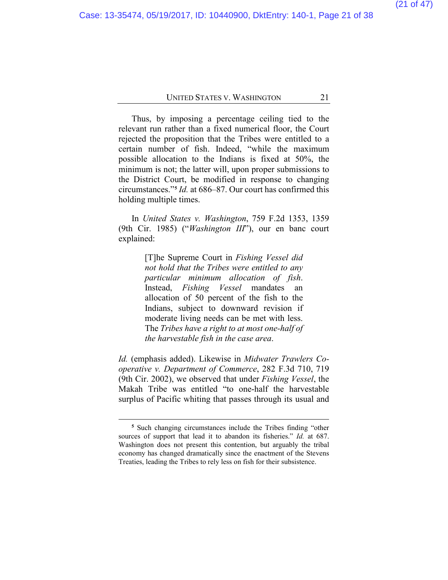Thus, by imposing a percentage ceiling tied to the relevant run rather than a fixed numerical floor, the Court rejected the proposition that the Tribes were entitled to a certain number of fish. Indeed, "while the maximum possible allocation to the Indians is fixed at 50%, the minimum is not; the latter will, upon proper submissions to the District Court, be modified in response to changing circumstances."**[5](#page-20-0)** *Id.* at 686–87. Our court has confirmed this holding multiple times.

In *United States v. Washington*, 759 F.2d 1353, 1359 (9th Cir. 1985) ("*Washington III*"), our en banc court explained:

> [T]he Supreme Court in *Fishing Vessel did not hold that the Tribes were entitled to any particular minimum allocation of fish*. Instead, *Fishing Vessel* mandates an allocation of 50 percent of the fish to the Indians, subject to downward revision if moderate living needs can be met with less. The *Tribes have a right to at most one-half of the harvestable fish in the case area*.

*Id.* (emphasis added). Likewise in *Midwater Trawlers Cooperative v. Department of Commerce*, 282 F.3d 710, 719 (9th Cir. 2002), we observed that under *Fishing Vessel*, the Makah Tribe was entitled "to one-half the harvestable surplus of Pacific whiting that passes through its usual and

<span id="page-20-0"></span>**<sup>5</sup>** Such changing circumstances include the Tribes finding "other sources of support that lead it to abandon its fisheries." *Id.* at 687. Washington does not present this contention, but arguably the tribal economy has changed dramatically since the enactment of the Stevens Treaties, leading the Tribes to rely less on fish for their subsistence.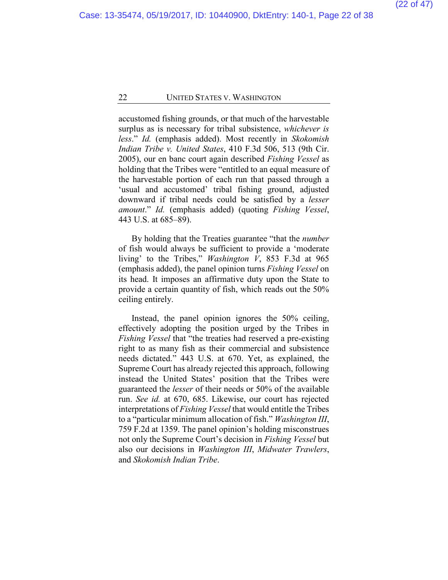accustomed fishing grounds, or that much of the harvestable surplus as is necessary for tribal subsistence, *whichever is less*." *Id.* (emphasis added). Most recently in *Skokomish Indian Tribe v. United States*, 410 F.3d 506, 513 (9th Cir. 2005), our en banc court again described *Fishing Vessel* as holding that the Tribes were "entitled to an equal measure of the harvestable portion of each run that passed through a 'usual and accustomed' tribal fishing ground, adjusted downward if tribal needs could be satisfied by a *lesser amount*." *Id.* (emphasis added) (quoting *Fishing Vessel*, 443 U.S. at 685–89).

By holding that the Treaties guarantee "that the *number*  of fish would always be sufficient to provide a 'moderate living' to the Tribes," *Washington V*, 853 F.3d at 965 (emphasis added), the panel opinion turns *Fishing Vessel* on its head. It imposes an affirmative duty upon the State to provide a certain quantity of fish, which reads out the 50% ceiling entirely.

Instead, the panel opinion ignores the 50% ceiling, effectively adopting the position urged by the Tribes in *Fishing Vessel* that "the treaties had reserved a pre-existing right to as many fish as their commercial and subsistence needs dictated." 443 U.S. at 670. Yet, as explained, the Supreme Court has already rejected this approach, following instead the United States' position that the Tribes were guaranteed the *lesser* of their needs or 50% of the available run. *See id.* at 670, 685. Likewise, our court has rejected interpretations of *Fishing Vessel* that would entitle the Tribes to a "particular minimum allocation of fish." *Washington III*, 759 F.2d at 1359. The panel opinion's holding misconstrues not only the Supreme Court's decision in *Fishing Vessel* but also our decisions in *Washington III*, *Midwater Trawlers*, and *Skokomish Indian Tribe*.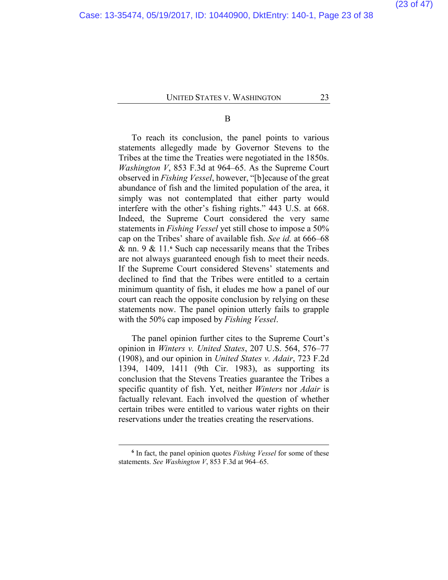B

To reach its conclusion, the panel points to various statements allegedly made by Governor Stevens to the Tribes at the time the Treaties were negotiated in the 1850s. *Washington V*, 853 F.3d at 964–65. As the Supreme Court observed in *Fishing Vessel*, however, "[b]ecause of the great abundance of fish and the limited population of the area, it simply was not contemplated that either party would interfere with the other's fishing rights." 443 U.S. at 668. Indeed, the Supreme Court considered the very same statements in *Fishing Vessel* yet still chose to impose a 50% cap on the Tribes' share of available fish. *See id.* at 666–68 & nn. 9 & 11.**[6](#page-22-0)** Such cap necessarily means that the Tribes are not always guaranteed enough fish to meet their needs. If the Supreme Court considered Stevens' statements and declined to find that the Tribes were entitled to a certain minimum quantity of fish, it eludes me how a panel of our court can reach the opposite conclusion by relying on these statements now. The panel opinion utterly fails to grapple with the 50% cap imposed by *Fishing Vessel*.

The panel opinion further cites to the Supreme Court's opinion in *Winters v. United States*, 207 U.S. 564, 576–77 (1908), and our opinion in *United States v. Adair*, 723 F.2d 1394, 1409, 1411 (9th Cir. 1983), as supporting its conclusion that the Stevens Treaties guarantee the Tribes a specific quantity of fish. Yet, neither *Winters* nor *Adair* is factually relevant. Each involved the question of whether certain tribes were entitled to various water rights on their reservations under the treaties creating the reservations.

<span id="page-22-0"></span>**<sup>6</sup>** In fact, the panel opinion quotes *Fishing Vessel* for some of these statements. *See Washington V*, 853 F.3d at 964–65.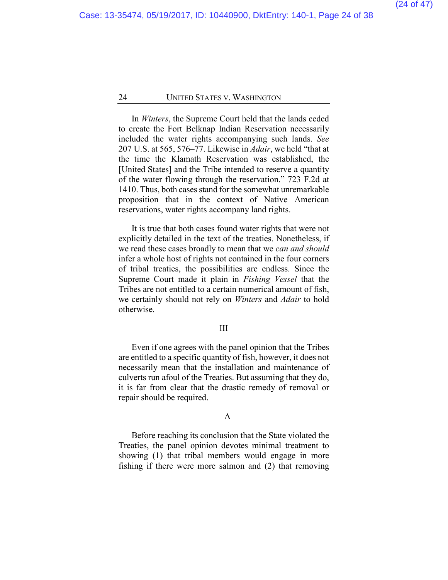In *Winters*, the Supreme Court held that the lands ceded to create the Fort Belknap Indian Reservation necessarily included the water rights accompanying such lands. *See* 207 U.S. at 565, 576–77. Likewise in *Adair*, we held "that at the time the Klamath Reservation was established, the [United States] and the Tribe intended to reserve a quantity of the water flowing through the reservation." 723 F.2d at 1410. Thus, both cases stand for the somewhat unremarkable proposition that in the context of Native American reservations, water rights accompany land rights.

It is true that both cases found water rights that were not explicitly detailed in the text of the treaties. Nonetheless, if we read these cases broadly to mean that we *can and should* infer a whole host of rights not contained in the four corners of tribal treaties, the possibilities are endless. Since the Supreme Court made it plain in *Fishing Vessel* that the Tribes are not entitled to a certain numerical amount of fish, we certainly should not rely on *Winters* and *Adair* to hold otherwise.

#### III

Even if one agrees with the panel opinion that the Tribes are entitled to a specific quantity of fish, however, it does not necessarily mean that the installation and maintenance of culverts run afoul of the Treaties. But assuming that they do, it is far from clear that the drastic remedy of removal or repair should be required.

#### A

Before reaching its conclusion that the State violated the Treaties, the panel opinion devotes minimal treatment to showing (1) that tribal members would engage in more fishing if there were more salmon and (2) that removing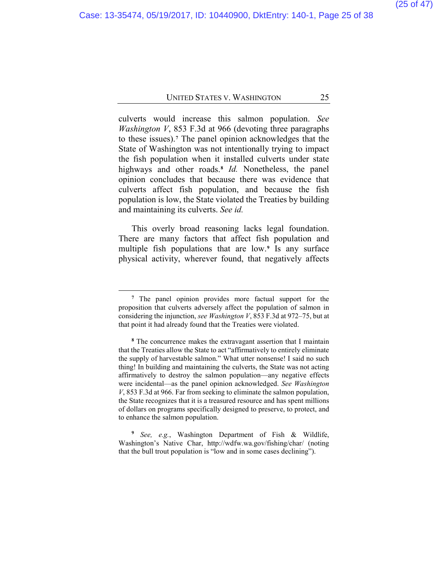culverts would increase this salmon population. *See Washington V*, 853 F.3d at 966 (devoting three paragraphs to these issues).**[7](#page-24-0)** The panel opinion acknowledges that the State of Washington was not intentionally trying to impact the fish population when it installed culverts under state highways and other roads.**[8](#page-24-1)** *Id.* Nonetheless, the panel opinion concludes that because there was evidence that culverts affect fish population, and because the fish population is low, the State violated the Treaties by building and maintaining its culverts. *See id.*

This overly broad reasoning lacks legal foundation. There are many factors that affect fish population and multiple fish populations that are low.**[9](#page-24-2)** Is any surface physical activity, wherever found, that negatively affects

**<sup>7</sup>** The panel opinion provides more factual support for the proposition that culverts adversely affect the population of salmon in considering the injunction, *see Washington V*, 853 F.3d at 972–75, but at that point it had already found that the Treaties were violated.

<span id="page-24-0"></span>**<sup>8</sup>** The concurrence makes the extravagant assertion that I maintain that the Treaties allow the State to act "affirmatively to entirely eliminate the supply of harvestable salmon." What utter nonsense! I said no such thing! In building and maintaining the culverts, the State was not acting affirmatively to destroy the salmon population—any negative effects were incidental—as the panel opinion acknowledged. *See Washington V*, 853 F.3d at 966. Far from seeking to eliminate the salmon population, the State recognizes that it is a treasured resource and has spent millions of dollars on programs specifically designed to preserve, to protect, and to enhance the salmon population.

<span id="page-24-2"></span><span id="page-24-1"></span>**<sup>9</sup>** *See, e.g.*, Washington Department of Fish & Wildlife, Washington's Native Char, http://wdfw.wa.gov/fishing/char/ (noting that the bull trout population is "low and in some cases declining").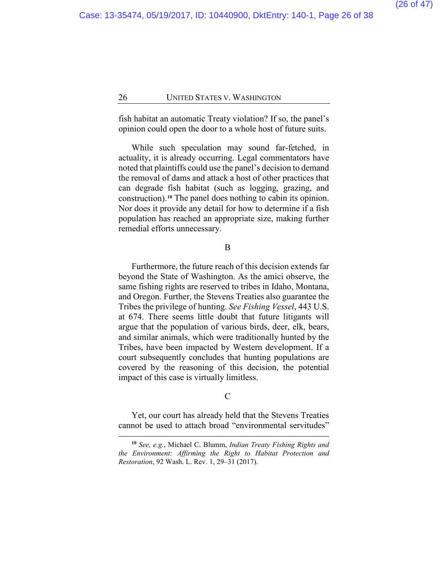fish habitat an automatic Treaty violation? If so, the panel's opinion could open the door to a whole host of future suits.

While such speculation may sound far-fetched, in actuality, it is already occurring. Legal commentators have noted that plaintiffs could use the panel's decision to demand the removal of dams and attack a host of other practices that can degrade fish habitat (such as logging, grazing, and construction).**[10](#page-25-0)** The panel does nothing to cabin its opinion. Nor does it provide any detail for how to determine if a fish population has reached an appropriate size, making further remedial efforts unnecessary.

#### B

Furthermore, the future reach of this decision extends far beyond the State of Washington. As the amici observe, the same fishing rights are reserved to tribes in Idaho, Montana, and Oregon. Further, the Stevens Treaties also guarantee the Tribes the privilege of hunting. *See Fishing Vessel*, 443 U.S. at 674. There seems little doubt that future litigants will argue that the population of various birds, deer, elk, bears, and similar animals, which were traditionally hunted by the Tribes, have been impacted by Western development. If a court subsequently concludes that hunting populations are covered by the reasoning of this decision, the potential impact of this case is virtually limitless.

#### $\mathcal{C}$

Yet, our court has already held that the Stevens Treaties cannot be used to attach broad "environmental servitudes"

<span id="page-25-0"></span>**<sup>10</sup>** *See, e.g.*, Michael C. Blumm, *Indian Treaty Fishing Rights and the Environment: Affirming the Right to Habitat Protection and Restoration*, 92 Wash. L. Rev. 1, 29–31 (2017).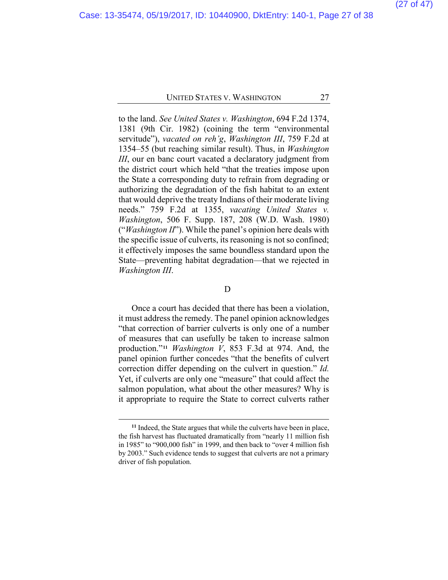to the land. *See United States v. Washington*, 694 F.2d 1374, 1381 (9th Cir. 1982) (coining the term "environmental servitude"), *vacated on reh'g*, *Washington III*, 759 F.2d at 1354–55 (but reaching similar result). Thus, in *Washington III*, our en banc court vacated a declaratory judgment from the district court which held "that the treaties impose upon the State a corresponding duty to refrain from degrading or authorizing the degradation of the fish habitat to an extent that would deprive the treaty Indians of their moderate living needs." 759 F.2d at 1355, *vacating United States v. Washington*, 506 F. Supp. 187, 208 (W.D. Wash. 1980) ("*Washington II*"). While the panel's opinion here deals with the specific issue of culverts, its reasoning is not so confined; it effectively imposes the same boundless standard upon the State—preventing habitat degradation—that we rejected in *Washington III*.

#### D

Once a court has decided that there has been a violation, it must address the remedy. The panel opinion acknowledges "that correction of barrier culverts is only one of a number of measures that can usefully be taken to increase salmon production."**[11](#page-26-0)** *Washington V*, 853 F.3d at 974. And, the panel opinion further concedes "that the benefits of culvert correction differ depending on the culvert in question." *Id.* Yet, if culverts are only one "measure" that could affect the salmon population, what about the other measures? Why is it appropriate to require the State to correct culverts rather

<span id="page-26-0"></span>**<sup>11</sup>** Indeed, the State argues that while the culverts have been in place, the fish harvest has fluctuated dramatically from "nearly 11 million fish in 1985" to "900,000 fish" in 1999, and then back to "over 4 million fish by 2003." Such evidence tends to suggest that culverts are not a primary driver of fish population.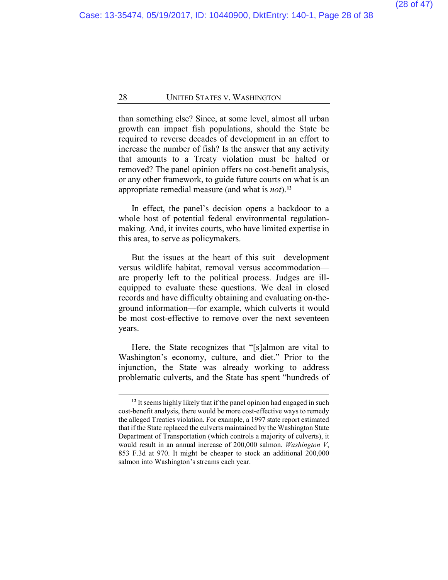than something else? Since, at some level, almost all urban growth can impact fish populations, should the State be required to reverse decades of development in an effort to increase the number of fish? Is the answer that any activity that amounts to a Treaty violation must be halted or removed? The panel opinion offers no cost-benefit analysis, or any other framework, to guide future courts on what is an appropriate remedial measure (and what is *not*).**[12](#page-27-0)**

In effect, the panel's decision opens a backdoor to a whole host of potential federal environmental regulationmaking. And, it invites courts, who have limited expertise in this area, to serve as policymakers.

But the issues at the heart of this suit—development versus wildlife habitat, removal versus accommodation are properly left to the political process. Judges are illequipped to evaluate these questions. We deal in closed records and have difficulty obtaining and evaluating on-theground information—for example, which culverts it would be most cost-effective to remove over the next seventeen years.

Here, the State recognizes that "[s]almon are vital to Washington's economy, culture, and diet." Prior to the injunction, the State was already working to address problematic culverts, and the State has spent "hundreds of

<span id="page-27-0"></span>**<sup>12</sup>** It seems highly likely that if the panel opinion had engaged in such cost-benefit analysis, there would be more cost-effective ways to remedy the alleged Treaties violation. For example, a 1997 state report estimated that if the State replaced the culverts maintained by the Washington State Department of Transportation (which controls a majority of culverts), it would result in an annual increase of 200,000 salmon. *Washington V*, 853 F.3d at 970. It might be cheaper to stock an additional 200,000 salmon into Washington's streams each year.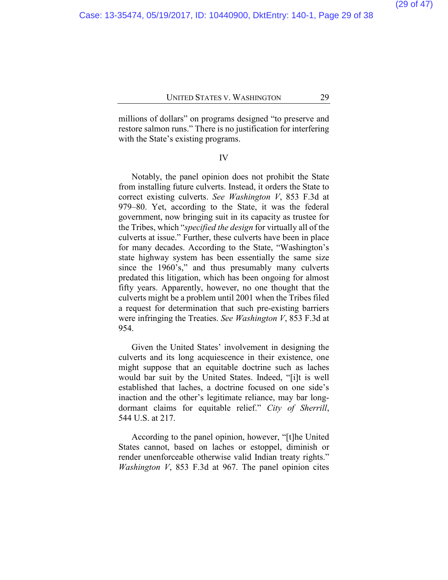millions of dollars" on programs designed "to preserve and restore salmon runs." There is no justification for interfering with the State's existing programs.

#### IV

Notably, the panel opinion does not prohibit the State from installing future culverts. Instead, it orders the State to correct existing culverts. *See Washington V*, 853 F.3d at 979–80. Yet, according to the State, it was the federal government, now bringing suit in its capacity as trustee for the Tribes, which "*specified the design* for virtually all of the culverts at issue." Further, these culverts have been in place for many decades. According to the State, "Washington's state highway system has been essentially the same size since the 1960's," and thus presumably many culverts predated this litigation, which has been ongoing for almost fifty years. Apparently, however, no one thought that the culverts might be a problem until 2001 when the Tribes filed a request for determination that such pre-existing barriers were infringing the Treaties. *See Washington V*, 853 F.3d at 954.

Given the United States' involvement in designing the culverts and its long acquiescence in their existence, one might suppose that an equitable doctrine such as laches would bar suit by the United States. Indeed, "[i]t is well established that laches, a doctrine focused on one side's inaction and the other's legitimate reliance, may bar longdormant claims for equitable relief." *City of Sherrill*, 544 U.S. at 217.

According to the panel opinion, however, "[t]he United States cannot, based on laches or estoppel, diminish or render unenforceable otherwise valid Indian treaty rights." *Washington V*, 853 F.3d at 967. The panel opinion cites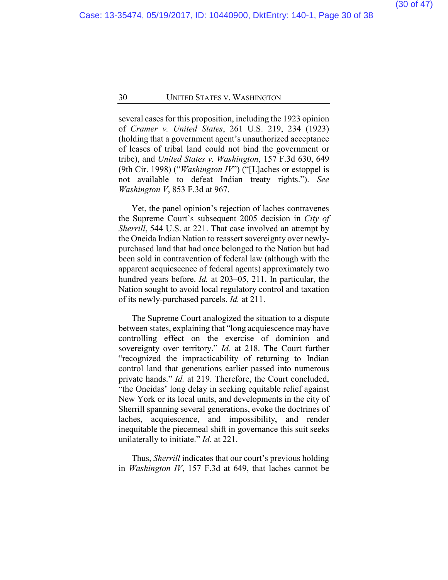several cases for this proposition, including the 1923 opinion of *Cramer v. United States*, 261 U.S. 219, 234 (1923) (holding that a government agent's unauthorized acceptance of leases of tribal land could not bind the government or tribe), and *United States v. Washington*, 157 F.3d 630, 649 (9th Cir. 1998) ("*Washington IV*") ("[L]aches or estoppel is not available to defeat Indian treaty rights."). *See Washington V*, 853 F.3d at 967.

Yet, the panel opinion's rejection of laches contravenes the Supreme Court's subsequent 2005 decision in *City of Sherrill*, 544 U.S. at 221. That case involved an attempt by the Oneida Indian Nation to reassert sovereignty over newlypurchased land that had once belonged to the Nation but had been sold in contravention of federal law (although with the apparent acquiescence of federal agents) approximately two hundred years before. *Id.* at 203–05, 211. In particular, the Nation sought to avoid local regulatory control and taxation of its newly-purchased parcels. *Id.* at 211.

The Supreme Court analogized the situation to a dispute between states, explaining that "long acquiescence may have controlling effect on the exercise of dominion and sovereignty over territory." *Id.* at 218. The Court further "recognized the impracticability of returning to Indian control land that generations earlier passed into numerous private hands." *Id.* at 219. Therefore, the Court concluded, "the Oneidas' long delay in seeking equitable relief against New York or its local units, and developments in the city of Sherrill spanning several generations, evoke the doctrines of laches, acquiescence, and impossibility, and render inequitable the piecemeal shift in governance this suit seeks unilaterally to initiate." *Id.* at 221.

Thus, *Sherrill* indicates that our court's previous holding in *Washington IV*, 157 F.3d at 649, that laches cannot be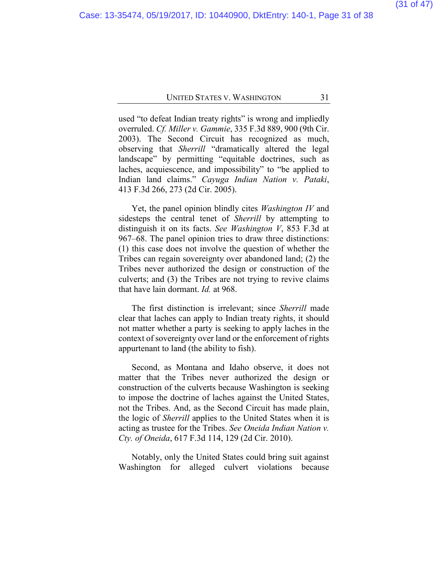used "to defeat Indian treaty rights" is wrong and impliedly overruled. *Cf. Miller v. Gammie*, 335 F.3d 889, 900 (9th Cir. 2003). The Second Circuit has recognized as much, observing that *Sherrill* "dramatically altered the legal landscape" by permitting "equitable doctrines, such as laches, acquiescence, and impossibility" to "be applied to Indian land claims." *Cayuga Indian Nation v. Pataki*, 413 F.3d 266, 273 (2d Cir. 2005).

Yet, the panel opinion blindly cites *Washington IV* and sidesteps the central tenet of *Sherrill* by attempting to distinguish it on its facts. *See Washington V*, 853 F.3d at 967–68. The panel opinion tries to draw three distinctions: (1) this case does not involve the question of whether the Tribes can regain sovereignty over abandoned land; (2) the Tribes never authorized the design or construction of the culverts; and (3) the Tribes are not trying to revive claims that have lain dormant. *Id.* at 968.

The first distinction is irrelevant; since *Sherrill* made clear that laches can apply to Indian treaty rights, it should not matter whether a party is seeking to apply laches in the context of sovereignty over land or the enforcement of rights appurtenant to land (the ability to fish).

Second, as Montana and Idaho observe, it does not matter that the Tribes never authorized the design or construction of the culverts because Washington is seeking to impose the doctrine of laches against the United States, not the Tribes. And, as the Second Circuit has made plain, the logic of *Sherrill* applies to the United States when it is acting as trustee for the Tribes. *See Oneida Indian Nation v. Cty. of Oneida*, 617 F.3d 114, 129 (2d Cir. 2010).

Notably, only the United States could bring suit against Washington for alleged culvert violations because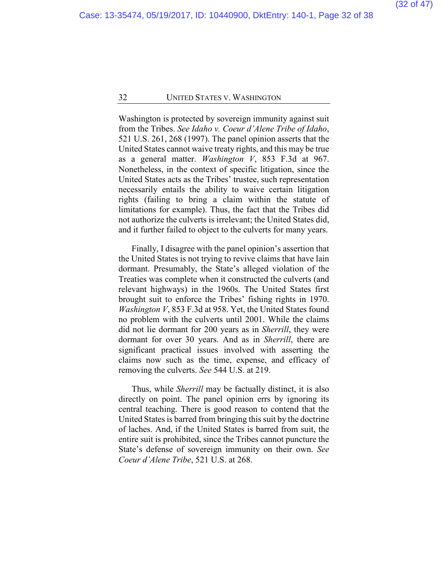Washington is protected by sovereign immunity against suit from the Tribes. *See Idaho v. Coeur d'Alene Tribe of Idaho*, 521 U.S. 261, 268 (1997). The panel opinion asserts that the United States cannot waive treaty rights, and this may be true as a general matter. *Washington V*, 853 F.3d at 967. Nonetheless, in the context of specific litigation, since the United States acts as the Tribes' trustee, such representation necessarily entails the ability to waive certain litigation rights (failing to bring a claim within the statute of limitations for example). Thus, the fact that the Tribes did not authorize the culverts is irrelevant; the United States did, and it further failed to object to the culverts for many years.

Finally, I disagree with the panel opinion's assertion that the United States is not trying to revive claims that have lain dormant. Presumably, the State's alleged violation of the Treaties was complete when it constructed the culverts (and relevant highways) in the 1960s. The United States first brought suit to enforce the Tribes' fishing rights in 1970. *Washington V*, 853 F.3d at 958. Yet, the United States found no problem with the culverts until 2001. While the claims did not lie dormant for 200 years as in *Sherrill*, they were dormant for over 30 years. And as in *Sherrill*, there are significant practical issues involved with asserting the claims now such as the time, expense, and efficacy of removing the culverts. *See* 544 U.S. at 219.

Thus, while *Sherrill* may be factually distinct, it is also directly on point. The panel opinion errs by ignoring its central teaching. There is good reason to contend that the United States is barred from bringing this suit by the doctrine of laches. And, if the United States is barred from suit, the entire suit is prohibited, since the Tribes cannot puncture the State's defense of sovereign immunity on their own. *See Coeur d'Alene Tribe*, 521 U.S. at 268.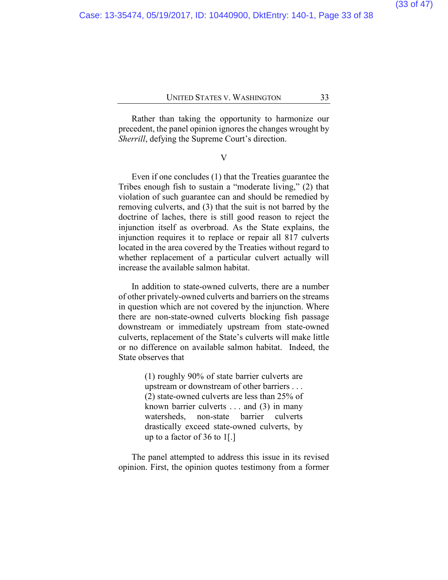Rather than taking the opportunity to harmonize our precedent, the panel opinion ignores the changes wrought by *Sherrill*, defying the Supreme Court's direction.

V

Even if one concludes (1) that the Treaties guarantee the Tribes enough fish to sustain a "moderate living," (2) that violation of such guarantee can and should be remedied by removing culverts, and (3) that the suit is not barred by the doctrine of laches, there is still good reason to reject the injunction itself as overbroad. As the State explains, the injunction requires it to replace or repair all 817 culverts located in the area covered by the Treaties without regard to whether replacement of a particular culvert actually will increase the available salmon habitat.

In addition to state-owned culverts, there are a number of other privately-owned culverts and barriers on the streams in question which are not covered by the injunction. Where there are non-state-owned culverts blocking fish passage downstream or immediately upstream from state-owned culverts, replacement of the State's culverts will make little or no difference on available salmon habitat. Indeed, the State observes that

> (1) roughly 90% of state barrier culverts are upstream or downstream of other barriers . . . (2) state-owned culverts are less than 25% of known barrier culverts . . . and (3) in many watersheds, non-state barrier culverts drastically exceed state-owned culverts, by up to a factor of 36 to 1[.]

The panel attempted to address this issue in its revised opinion. First, the opinion quotes testimony from a former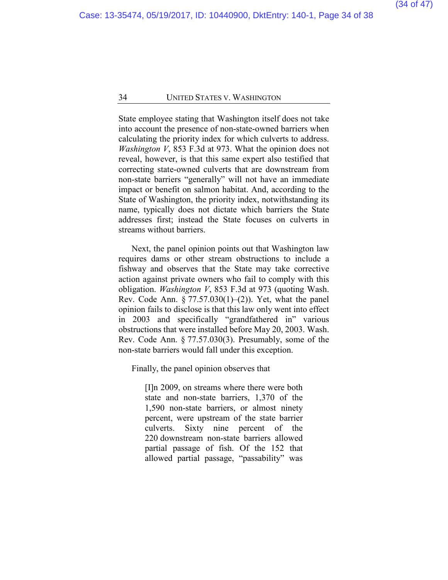State employee stating that Washington itself does not take into account the presence of non-state-owned barriers when calculating the priority index for which culverts to address. *Washington V*, 853 F.3d at 973. What the opinion does not reveal, however, is that this same expert also testified that correcting state-owned culverts that are downstream from non-state barriers "generally" will not have an immediate impact or benefit on salmon habitat. And, according to the State of Washington, the priority index, notwithstanding its name, typically does not dictate which barriers the State addresses first; instead the State focuses on culverts in streams without barriers.

Next, the panel opinion points out that Washington law requires dams or other stream obstructions to include a fishway and observes that the State may take corrective action against private owners who fail to comply with this obligation. *Washington V*, 853 F.3d at 973 (quoting Wash. Rev. Code Ann.  $\S 77.57.030(1)$ –(2)). Yet, what the panel opinion fails to disclose is that this law only went into effect in 2003 and specifically "grandfathered in" various obstructions that were installed before May 20, 2003. Wash. Rev. Code Ann. § 77.57.030(3). Presumably, some of the non-state barriers would fall under this exception.

Finally, the panel opinion observes that

[I]n 2009, on streams where there were both state and non-state barriers, 1,370 of the 1,590 non-state barriers, or almost ninety percent, were upstream of the state barrier culverts. Sixty nine percent of the 220 downstream non-state barriers allowed partial passage of fish. Of the 152 that allowed partial passage, "passability" was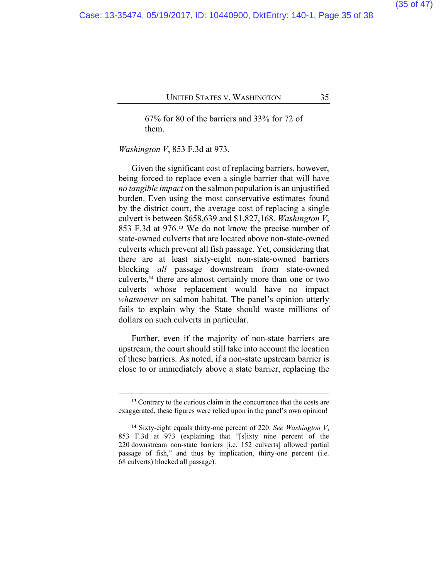67% for 80 of the barriers and 33% for 72 of them.

*Washington V*, 853 F.3d at 973.

 $\overline{a}$ 

Given the significant cost of replacing barriers, however, being forced to replace even a single barrier that will have *no tangible impact* on the salmon population is an unjustified burden. Even using the most conservative estimates found by the district court, the average cost of replacing a single culvert is between \$658,639 and \$1,827,168. *Washington V*, 853 F.3d at 976.**[13](#page-34-0)** We do not know the precise number of state-owned culverts that are located above non-state-owned culverts which prevent all fish passage. Yet, considering that there are at least sixty-eight non-state-owned barriers blocking *all* passage downstream from state-owned culverts,**[14](#page-34-1)** there are almost certainly more than one or two culverts whose replacement would have no impact *whatsoever* on salmon habitat. The panel's opinion utterly fails to explain why the State should waste millions of dollars on such culverts in particular.

Further, even if the majority of non-state barriers are upstream, the court should still take into account the location of these barriers. As noted, if a non-state upstream barrier is close to or immediately above a state barrier, replacing the

**<sup>13</sup>** Contrary to the curious claim in the concurrence that the costs are exaggerated, these figures were relied upon in the panel's own opinion!

<span id="page-34-1"></span><span id="page-34-0"></span>**<sup>14</sup>** Sixty-eight equals thirty-one percent of 220. *See Washington V*, 853 F.3d at 973 (explaining that "[s]ixty nine percent of the 220 downstream non-state barriers [i.e. 152 culverts] allowed partial passage of fish," and thus by implication, thirty-one percent (i.e. 68 culverts) blocked all passage).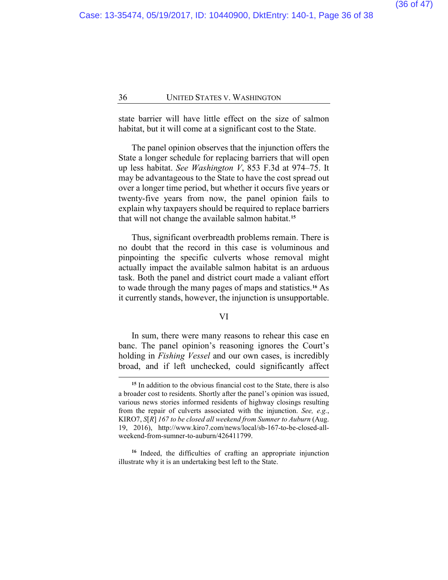state barrier will have little effect on the size of salmon habitat, but it will come at a significant cost to the State.

The panel opinion observes that the injunction offers the State a longer schedule for replacing barriers that will open up less habitat. *See Washington V*, 853 F.3d at 974–75. It may be advantageous to the State to have the cost spread out over a longer time period, but whether it occurs five years or twenty-five years from now, the panel opinion fails to explain why taxpayers should be required to replace barriers that will not change the available salmon habitat.**[15](#page-35-0)**

Thus, significant overbreadth problems remain. There is no doubt that the record in this case is voluminous and pinpointing the specific culverts whose removal might actually impact the available salmon habitat is an arduous task. Both the panel and district court made a valiant effort to wade through the many pages of maps and statistics.**[16](#page-35-1)** As it currently stands, however, the injunction is unsupportable.

#### VI

In sum, there were many reasons to rehear this case en banc. The panel opinion's reasoning ignores the Court's holding in *Fishing Vessel* and our own cases, is incredibly broad, and if left unchecked, could significantly affect

**<sup>15</sup>** In addition to the obvious financial cost to the State, there is also a broader cost to residents. Shortly after the panel's opinion was issued, various news stories informed residents of highway closings resulting from the repair of culverts associated with the injunction. *See, e.g.*, KIRO7, *S*[*R*] *167 to be closed all weekend from Sumner to Auburn* (Aug. 19, 2016), http://www.kiro7.com/news/local/sb-167-to-be-closed-allweekend-from-sumner-to-auburn/426411799.

<span id="page-35-1"></span><span id="page-35-0"></span>**<sup>16</sup>** Indeed, the difficulties of crafting an appropriate injunction illustrate why it is an undertaking best left to the State.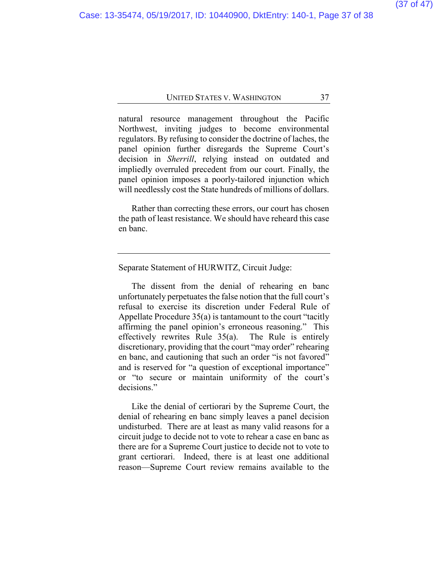natural resource management throughout the Pacific Northwest, inviting judges to become environmental regulators. By refusing to consider the doctrine of laches, the panel opinion further disregards the Supreme Court's decision in *Sherrill*, relying instead on outdated and impliedly overruled precedent from our court. Finally, the panel opinion imposes a poorly-tailored injunction which will needlessly cost the State hundreds of millions of dollars.

Rather than correcting these errors, our court has chosen the path of least resistance. We should have reheard this case en banc.

#### Separate Statement of HURWITZ, Circuit Judge:

The dissent from the denial of rehearing en banc unfortunately perpetuates the false notion that the full court's refusal to exercise its discretion under Federal Rule of Appellate Procedure 35(a) is tantamount to the court "tacitly affirming the panel opinion's erroneous reasoning." This effectively rewrites Rule 35(a). The Rule is entirely discretionary, providing that the court "may order" rehearing en banc, and cautioning that such an order "is not favored" and is reserved for "a question of exceptional importance" or "to secure or maintain uniformity of the court's decisions."

Like the denial of certiorari by the Supreme Court, the denial of rehearing en banc simply leaves a panel decision undisturbed. There are at least as many valid reasons for a circuit judge to decide not to vote to rehear a case en banc as there are for a Supreme Court justice to decide not to vote to grant certiorari. Indeed, there is at least one additional reason—Supreme Court review remains available to the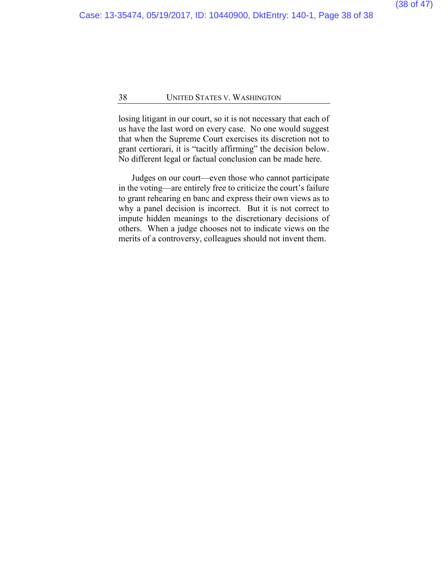losing litigant in our court, so it is not necessary that each of us have the last word on every case. No one would suggest that when the Supreme Court exercises its discretion not to grant certiorari, it is "tacitly affirming" the decision below. No different legal or factual conclusion can be made here.

Judges on our court—even those who cannot participate in the voting—are entirely free to criticize the court's failure to grant rehearing en banc and express their own views as to why a panel decision is incorrect. But it is not correct to impute hidden meanings to the discretionary decisions of others. When a judge chooses not to indicate views on the merits of a controversy, colleagues should not invent them.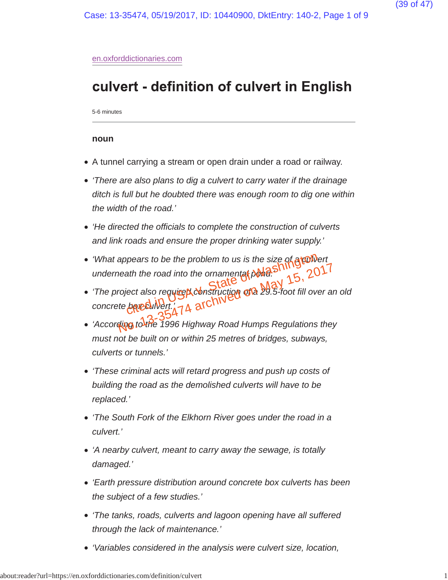#### en.oxforddictionaries.com

## culvert - definition of culvert in English

5-6 minutes

#### **noun**

- A tunnel carrying a stream or open drain under a road or railway.
- *'There are also plans to dig a culvert to carry water if the drainage ditch is full but he doubted there was enough room to dig one within the width of the road.'*
- *'He directed the officials to complete the construction of culverts and link roads and ensure the proper drinking water supply.'*
- 'What appears to be the problem to us is the size of a **culvert** *underneath the road into the ornamental pond.'*
- *'The project also require d construction of a 29.5-foot fill over an old* concrete bever wert.<sup>47</sup>4 archiv pears to be the problem to us is the size of **grow**<br>ath the road into the ornamental police name of 29.5-foot fill over<br>ject also require donstruction of a 29.5-foot fill over<br>be called:  $\frac{1}{4}$  a archived of a 29.5-foot neath the road into the ornamental ponds Shines 15, 2017<br>roject also require the construction of a 29.5-foot fill over an<br>te benefinited of a 29.5-foot fill over an<br>sting to the 1996 Highway Road Humps Regulations they
- *'According to the 1996 Highway Road Humps Regulations they must not be built on or within 25 metres of bridges, subways, culverts or tunnels.'*
- *'These criminal acts will retard progress and push up costs of building the road as the demolished culverts will have to be replaced.'*
- *'The South Fork of the Elkhorn River goes under the road in a culvert.'*
- *'A nearby culvert, meant to carry away the sewage, is totally damaged.'*
- *'Earth pressure distribution around concrete box culverts has been the subject of a few studies.'*
- *'The tanks, roads, culverts and lagoon opening have all suffered through the lack of maintenance.'*
- *'Variables considered in the analysis were culvert size, location,*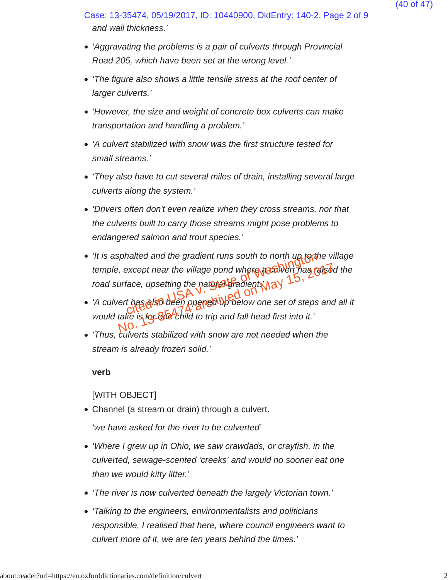*and wall thickness.'* Case: 13-35474, 05/19/2017, ID: 10440900, DktEntry: 140-2, Page 2 of 9

- *'Aggravating the problems is a pair of culverts through Provincial Road 205, which have been set at the wrong level.'*
- *'The figure also shows a little tensile stress at the roof center of larger culverts.'*
- *'However, the size and weight of concrete box culverts can make transportation and handling a problem.'*
- *'A culvert stabilized with snow was the first structure tested for small streams.'*
- *'They also have to cut several miles of drain, installing several large culverts along the system.'*
- *'Drivers often don't even realize when they cross streams, nor that the culverts built to carry those streams might pose problems to endangered salmon and trout species.'*
- *'It is asphalted and the gradient runs south to north up to the village temple, except near the village pond where a culvert has raised the* road surface, upsetting the natural gradient (12) malted and the gradient runs south to north up to the<br>except near the village pond where ratio were nas reference, upsetting the nature of adjection  $\frac{15}{10}$ ,<br>thas gish been ppercally below one set of steps
- *'A culvert has also been opened up below one set of steps and all it* would take is for *dive* child to trip and fall head first into it. where the village pond where as all the magnetic the magnetic term of the unit of the set of steps and take is **for one child** to trip and fall head first into it.<br>No. 2018, 2019, 2019, 2017, 2018, 2017, 2018, 2017, 2018,
- *'Thus, culverts stabilized with snow are not needed when the stream is already frozen solid.'*

**verb**

[WITH OBJECT]

Channel (a stream or drain) through a culvert.

*'we have asked for the river to be culverted'*

- *'Where I grew up in Ohio, we saw crawdads, or crayfish, in the culverted, sewage-scented 'creeks' and would no sooner eat one than we would kitty litter.'*
- *'The river is now culverted beneath the largely Victorian town.'*
- *'Talking to the engineers, environmentalists and politicians responsible, I realised that here, where council engineers want to culvert more of it, we are ten years behind the times.'*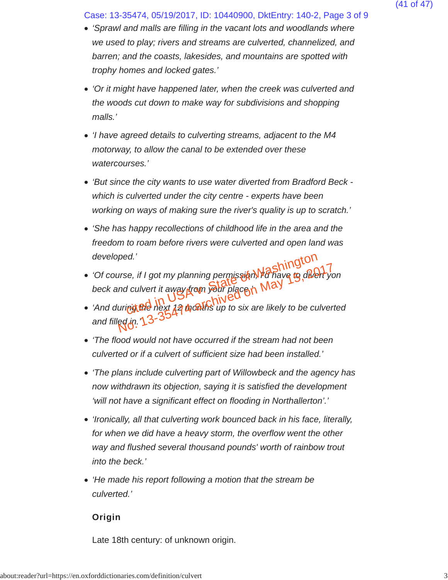Case: 13-35474, 05/19/2017, ID: 10440900, DktEntry: 140-2, Page 3 of 9

- *'Sprawl and malls are filling in the vacant lots and woodlands where we used to play; rivers and streams are culverted, channelized, and barren; and the coasts, lakesides, and mountains are spotted with trophy homes and locked gates.'*
- *'Or it might have happened later, when the creek was culverted and the woods cut down to make way for subdivisions and shopping malls.'*
- *'I have agreed details to culverting streams, adjacent to the M4 motorway, to allow the canal to be extended over these watercourses.'*
- *'But since the city wants to use water diverted from Bradford Beck which is culverted under the city centre - experts have been working on ways of making sure the river's quality is up to scratch.'*
- *'She has happy recollections of childhood life in the area and the freedom to roam before rivers were culverted and open land was developed.'*
- *'Of course, if I got my planning permission, I'd have to divert yon beck and culvert it away from your place.'* ed.'<br>se, if I got my planning permission) fo have to divert<br>d culvert it away from your place in May<br>ingle hext 12 months up to six are likely to be cul The if I got my planning permission Washings and culvert it away from your place in May is divert your place in May 17, 2017 and culvert it away from your place in May 17, 2018 and the culver equip.  $\gamma_3$ -3547 and the ver
- 'And during the next 12 months up to six are likely to be culverted and filled *in*.  $13 - 3$
- *'The flood would not have occurred if the stream had not been culverted or if a culvert of sufficient size had been installed.'*
- *'The plans include culverting part of Willowbeck and the agency has now withdrawn its objection, saying it is satisfied the development 'will not have a significant effect on flooding in Northallerton'.'*
- *'Ironically, all that culverting work bounced back in his face, literally, for when we did have a heavy storm, the overflow went the other way and flushed several thousand pounds' worth of rainbow trout into the beck.'*
- *'He made his report following a motion that the stream be culverted.'*

Origin

Late 18th century: of unknown origin.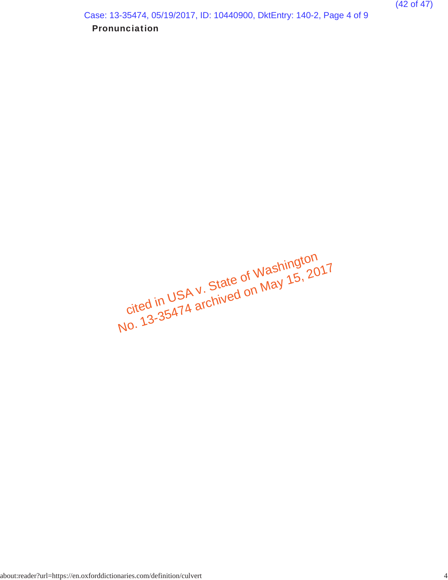Pronunciation Case: 13-35474, 05/19/2017, ID: 10440900, DktEntry: 140-2, Page 4 of 9

cited in USA v. State of Washington Ulted III Ush V. Jiale Ul Vydalilligium<br>No. 13-35474 archived on May 15, 2017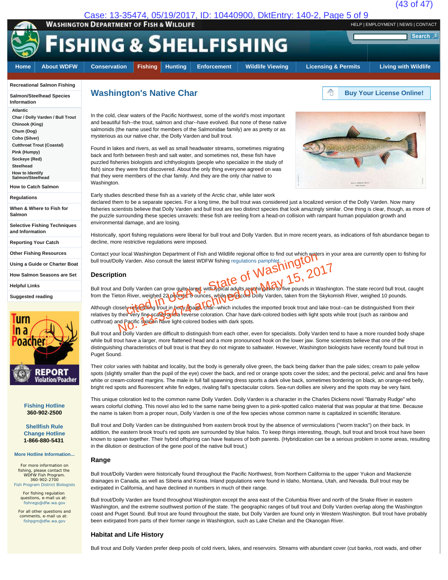

#### **Recreational Salmon Fishing**

**Salmon/Steelhead Species Information**

**Atlantic**

**Char / Dolly Varden / Bull Trout Chinook (King) Chum (Dog) Coho (Silver) Cutthroat Trout (Coastal)**

**Pink (Humpy) Sockeye (Red)**

**Steelhead**

**How to Identify Salmon/Steelhead**

**How to Catch Salmon**

**Regulations**

**When & Where to Fish for Salmon**

**Selective Fishing Techniques and Information**

**Reporting Your Catch**

**Other Fishing Resources**

**Using a Guide or Charter Boat**

**How Salmon Seasons are Set**

**Helpful Links**

**Suggested reading**



**Fishing Hotline 360-902-2500**

**Shellfish Rule Change Hotline 1-866-880-5431**

#### **More Hotline Information...**

For more information on fishing, please contact the WDFW Fish Program. 360-902-2700 Fish Program District Biologists

For fishing regulation questions, e-mail us at: fishregs@dfw.wa.gov

For all other questions and comments, e-mail us at: fishpgm@dfw.wa.gov

# **Washington's Native Char Buy Your License Online!**

In the cold, clear waters of the Pacific Northwest, some of the world's most important and beautiful fish--the trout, salmon and char--have evolved. But none of these native salmonids (the name used for members of the Salmonidae family) are as pretty or as mysterious as our native char, the Dolly Varden and bull trout.

Found in lakes and rivers, as well as small headwater streams, sometimes migrating back and forth between fresh and salt water, and sometimes not, these fish have puzzled fisheries biologists and ichthyologists (people who specialize in the study of fish) since they were first discovered. About the only thing everyone agreed on was that they were members of the char family. And they are the only char native to Washington.

Early studies described these fish as a variety of the Arctic char, while later work

declared them to be a separate species. For a long time, the bull trout was considered just a localized version of the Dolly Varden. Now many fisheries scientists believe that Dolly Varden and bull trout are two distinct species that look amazingly similar. One thing is clear, though, as more of the puzzle surrounding these species unravels: these fish are reeling from a head-on collision with rampant human population growth and environmental damage, and are losing.

Historically, sport fishing regulations were liberal for bull trout and Dolly Varden. But in more recent years, as indications of fish abundance began to decline, more restrictive regulations were imposed.

Contact your local Washington Department of Fish and Wildlife regional office to find out which waters in your area are currently open to fishing for bull trout/Dolly Varden. Also consult the latest WDFW fishing regulations pamphlet.

#### **Description**

Bull trout and Dolly Varden can grow quite large, with typical adults reaching two to five pounds in Washington. The state record bull trout, caught from the Tieton River, weighed 22 po<mark>unds, ծ</mark> ounces, while **the record Do**lly Varden, taken from the Skykomish River, weighed 10 pounds. Example to the latest WDFW fishing regulations pamphleting out which wish and the latest WDFW fishing regulations pamphleting out which was the latest WDFW fishing regulations pamphleting  $\frac{1}{15}$ , 20<sup>1</sup><br>olly Varden can

Although closely resembling trout in body shape, char--which includes the imported brook trout and lake trout--can be distinguished from their relatives by their very fine scales and a reverse coloration. Char have dark-colored bodies with light spots while trout (such as rainbow and cutthroat) and Pacific salmon have light-colored bodies with dark spots. on<br>
d Dolly Varden can grow quite large with yoical adults reaching May 15, 2017<br>
ton River, weighed 22 paylings, a ounces, while the doctring Dolly Varden, taken from the Skykor<br>
selver their very fine scale and heavy Apa

Bull trout and Dolly Varden are difficult to distinguish from each other, even for specialists. Dolly Varden tend to have a more rounded body shape while bull trout have a larger, more flattened head and a more pronounced hook on the lower jaw. Some scientists believe that one of the distinguishing characteristics of bull trout is that they do not migrate to saltwater. However, Washington biologists have recently found bull trout in Puget Sound.

Their color varies with habitat and locality, but the body is generally olive green, the back being darker than the pale sides; cream to pale yellow spots (slightly smaller than the pupil of the eye) cover the back, and red or orange spots cover the sides; and the pectoral, pelvic and anal fins have white or cream-colored margins. The male in full fall spawning dress sports a dark olive back, sometimes bordering on black, an orange-red belly, bright red spots and fluorescent white fin edges, rivaling fall's spectacular colors. Sea-run dollies are silvery and the spots may be very faint.

This unique coloration led to the common name Dolly Varden. Dolly Varden is a character in the Charles Dickens novel "Barnaby Rudge" who wears colorful clothing. This novel also led to the same name being given to a pink-spotted calico material that was popular at that time. Because the name is taken from a proper noun, Dolly Varden is one of the few species whose common name is capitalized in scientific literature.

Bull trout and Dolly Varden can be distinguished from eastern brook trout by the absence of vermiculations ("worm tracks") on their back. In addition, the eastern brook trout's red spots are surrounded by blue halos. To keep things interesting, though, bull trout and brook trout have been known to spawn together. Their hybrid offspring can have features of both parents. (Hybridization can be a serious problem in some areas, resulting in the dilution or destruction of the gene pool of the native bull trout.)

#### **Range**

Bull trout/Dolly Varden were historically found throughout the Pacific Northwest, from Northern California to the upper Yukon and Mackenzie drainages in Canada, as well as Siberia and Korea. Inland populations were found in Idaho, Montana, Utah, and Nevada. Bull trout may be extirpated in California, and have declined in numbers in much of their range.

Bull trout/Dolly Varden are found throughout Washington except the area east of the Columbia River and north of the Snake River in eastern Washington, and the extreme southwest portion of the state. The geographic ranges of bull trout and Dolly Varden overlap along the Washington coast and Puget Sound. Bull trout are found throughout the state, but Dolly Varden are found only in Western Washington. Bull trout have probably been extirpated from parts of their former range in Washington, such as Lake Chelan and the Okanogan River.

#### **Habitat and Life History**

Bull trout and Dolly Varden prefer deep pools of cold rivers, lakes, and reservoirs. Streams with abundant cover (cut banks, root wads, and other

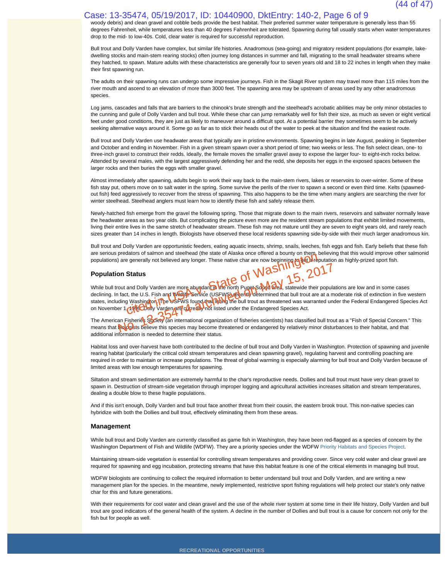#### Case: 13-35474, 05/19/2017, ID: 10440900, DktEntry: 140-2, Page 6 of 9

woody debris) and clean gravel and cobble beds provide the best habitat. Their preferred summer water temperature is generally less than 55 degrees Fahrenheit, while temperatures less than 40 degrees Fahrenheit are tolerated. Spawning during fall usually starts when water temperatures drop to the mid- to low-40s. Cold, clear water is required for successful reproduction.

Bull trout and Dolly Varden have complex, but similar life histories. Anadromous (sea-going) and migratory resident populations (for example, lakedwelling stocks and main-stem rearing stocks) often journey long distances in summer and fall, migrating to the small headwater streams where they hatched, to spawn. Mature adults with these characteristics are generally four to seven years old and 18 to 22 inches in length when they make their first spawning run.

The adults on their spawning runs can undergo some impressive journeys. Fish in the Skagit River system may travel more than 115 miles from the river mouth and ascend to an elevation of more than 3000 feet. The spawning area may be upstream of areas used by any other anadromous species.

Log jams, cascades and falls that are barriers to the chinook's brute strength and the steelhead's acrobatic abilities may be only minor obstacles to the cunning and guile of Dolly Varden and bull trout. While these char can jump remarkably well for fish their size, as much as seven or eight vertical feet under good conditions, they are just as likely to maneuver around a difficult spot. At a potential barrier they sometimes seem to be actively seeking alternative ways around it. Some go as far as to stick their heads out of the water to peek at the situation and find the easiest route.

Bull trout and Dolly Varden use headwater areas that typically are in pristine environments. Spawning begins in late August, peaking in September and October and ending in November. Fish in a given stream spawn over a short period of time; two weeks or less. The fish select clean, one- to three-inch gravel to construct their redds. Ideally, the female moves the smaller gravel away to expose the larger four- to eight-inch rocks below. Attended by several males, with the largest aggressively defending her and the redd, she deposits her eggs in the exposed spaces between the larger rocks and then buries the eggs with smaller gravel.

Almost immediately after spawning, adults begin to work their way back to the main-stem rivers, lakes or reservoirs to over-winter. Some of these fish stay put, others move on to salt water in the spring. Some survive the perils of the river to spawn a second or even third time. Kelts (spawnedout fish) feed aggressively to recover from the stress of spawning. This also happens to be the time when many anglers are searching the river for winter steelhead. Steelhead anglers must learn how to identify these fish and safely release them.

Newly-hatched fish emerge from the gravel the following spring. Those that migrate down to the main rivers, reservoirs and saltwater normally leave the headwater areas as two year olds. But complicating the picture even more are the resident stream populations that exhibit limited movements, living their entire lives in the same stretch of headwater stream. These fish may not mature until they are seven to eight years old, and rarely reach sizes greater than 14 inches in length. Biologists have observed these local residents spawning side-by-side with their much larger anadromous kin.

Bull trout and Dolly Varden are opportunistic feeders, eating aquatic insects, shrimp, snails, leeches, fish eggs and fish. Early beliefs that these fish are serious predators of salmon and steelhead (the state of Alaska once offered a bounty on them, believing that this would improve other salmonid populations) are generally not believed any longer. These native char are now beginning to the putation as highly-prized sport fish.

#### **Population Status**

While bull trout and Dolly Varden are more abundant in the north Puget Sound area, statewide their populations are low and in some cases declining. In fact, the U.S. Fish and Wil<del>dlife Service</del> (USFWS) redently determined that bull trout are at a moderate risk of extinction in five western states, including Washington. The USFWS found that libing the bull trout as threatened was warranted under the Federal Endangered Species Act on November 1, 1995. Dolly Varden are currently not listed under the Endangered Species Act. experience of the state of the state of the second intervention of the second of the second of the second of the second of the north Puget Sound Green and Dolly Varden are more abundantly the north Puget Sound Green and Do out and Dolly Varden are more abundant the north Puget Solved and Number 2017<br>In a state wide in the U.S. Fish and Widely Bervice (USFWS) edentity determined that bull trout are at a m<br>ding Washington The USFWS found that

The American Fisheries Society (an international organization of fisheries scientists) has classified bull trout as a "Fish of Special Concern." This means that the outsts believe this species may become threatened or endangered by relatively minor disturbances to their habitat, and that additional information is needed to determine their status.

Habitat loss and over-harvest have both contributed to the decline of bull trout and Dolly Varden in Washington. Protection of spawning and juvenile rearing habitat (particularly the critical cold stream temperatures and clean spawning gravel), regulating harvest and controlling poaching are required in order to maintain or increase populations. The threat of global warming is especially alarming for bull trout and Dolly Varden because of limited areas with low enough temperatures for spawning.

Siltation and stream sedimentation are extremely harmful to the char's reproductive needs. Dollies and bull trout must have very clean gravel to spawn in. Destruction of stream-side vegetation through improper logging and agricultural activities increases siltation and stream temperatures, dealing a double blow to these fragile populations.

And if this isn't enough, Dolly Varden and bull trout face another threat from their cousin, the eastern brook trout. This non-native species can hybridize with both the Dollies and bull trout, effectively eliminating them from these areas.

#### **Management**

While bull trout and Dolly Varden are currently classified as game fish in Washington, they have been red-flagged as a species of concern by the Washington Department of Fish and Wildlife (WDFW). They are a priority species under the WDFW Priority Habitats and Species Project.

Maintaining stream-side vegetation is essential for controlling stream temperatures and providing cover. Since very cold water and clear gravel are required for spawning and egg incubation, protecting streams that have this habitat feature is one of the critical elements in managing bull trout.

WDFW biologists are continuing to collect the required information to better understand bull trout and Dolly Varden, and are writing a new management plan for the species. In the meantime, newly implemented, restrictive sport fishing regulations will help protect our state's only native char for this and future generations.

With their requirements for cool water and clean gravel and the use of the whole river system at some time in their life history, Dolly Varden and bull trout are good indicators of the general health of the system. A decline in the number of Dollies and bull trout is a cause for concern not only for the fish but for people as well.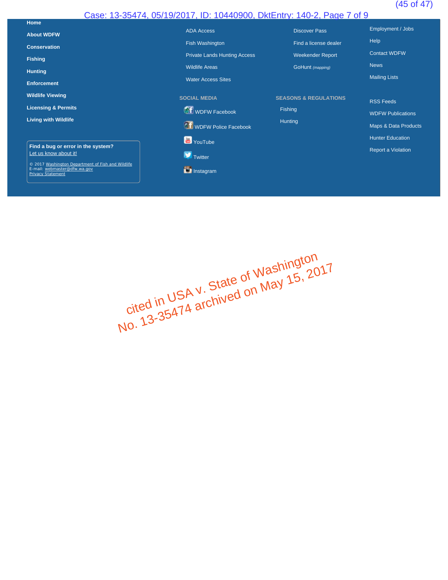## (45 of 47)

## Case: 13-35474, 05/19/2017, ID: 10440900, DktEntry: 140-2, Page 7 of 9

| Home                                                     |                                     |                                  |                          |
|----------------------------------------------------------|-------------------------------------|----------------------------------|--------------------------|
| <b>About WDFW</b>                                        | <b>ADA Access</b>                   | <b>Discover Pass</b>             | Employment / Jobs        |
| <b>Conservation</b>                                      | Fish Washington                     | Find a license dealer            | Help                     |
| <b>Fishing</b>                                           | <b>Private Lands Hunting Access</b> | <b>Weekender Report</b>          | <b>Contact WDFW</b>      |
|                                                          | <b>Wildlife Areas</b>               | GoHunt (mapping)                 | <b>News</b>              |
| <b>Hunting</b>                                           | <b>Water Access Sites</b>           |                                  | <b>Mailing Lists</b>     |
| <b>Enforcement</b>                                       |                                     |                                  |                          |
| <b>Wildlife Viewing</b>                                  | <b>SOCIAL MEDIA</b>                 | <b>SEASONS &amp; REGULATIONS</b> | <b>RSS Feeds</b>         |
| <b>Licensing &amp; Permits</b>                           | <b>T</b> WDFW Facebook              | Fishing                          | <b>WDFW Publications</b> |
| <b>Living with Wildlife</b>                              |                                     | Hunting                          |                          |
|                                                          | <b>T</b> WDFW Police Facebook       |                                  | Maps & Data Products     |
| Find a bug or error in the system?                       | YouTube                             |                                  | <b>Hunter Education</b>  |
| Let us know about it!                                    | Twitter                             |                                  | Report a Violation       |
| © 2017 Washington Department of Fish and Wildlife        |                                     |                                  |                          |
| E-mail: webmaster@dfw.wa.gov<br><b>Privacy Statement</b> | <b>D</b> Instagram                  |                                  |                          |
|                                                          |                                     |                                  |                          |

cited in USA <sup>v.</sup> State of Washington<br>Cited in USA <sup>v.</sup> State on May 15, 20 cited in USA <sup>V.</sup> State of Washing.<br>Cited in USA <sup>V.</sup> State on May 15, 2017<br>No. 13-35474 archived on May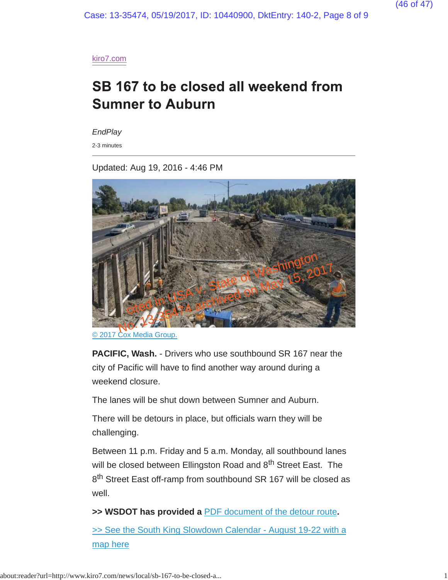Case: 13-35474, 05/19/2017, ID: 10440900, DktEntry: 140-2, Page 8 of 9

kiro7.com

# SB 167 to be closed all weekend from **Sumner to Auburn**

*EndPlay*

2-3 minutes

Updated: Aug 19, 2016 - 4:46 PM



© 2017 Cox Media Group.

**PACIFIC, Wash.** - Drivers who use southbound SR 167 near the city of Pacific will have to find another way around during a weekend closure.

The lanes will be shut down between Sumner and Auburn.

There will be detours in place, but officials warn they will be challenging.

Between 11 p.m. Friday and 5 a.m. Monday, all southbound lanes will be closed between Ellingston Road and 8<sup>th</sup> Street East. The 8<sup>th</sup> Street East off-ramp from southbound SR 167 will be closed as well.

**>> WSDOT has provided a** PDF document of the detour route**.**

>> See the South King Slowdown Calendar - August 19-22 with a map here